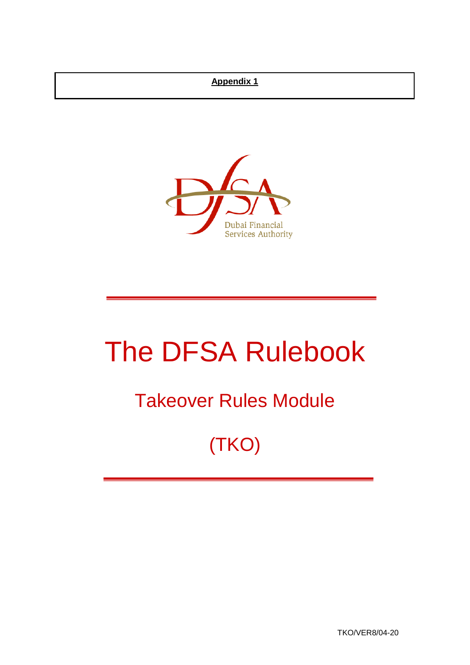## **Appendix 1**



# The DFSA Rulebook

## Takeover Rules Module

## (TKO)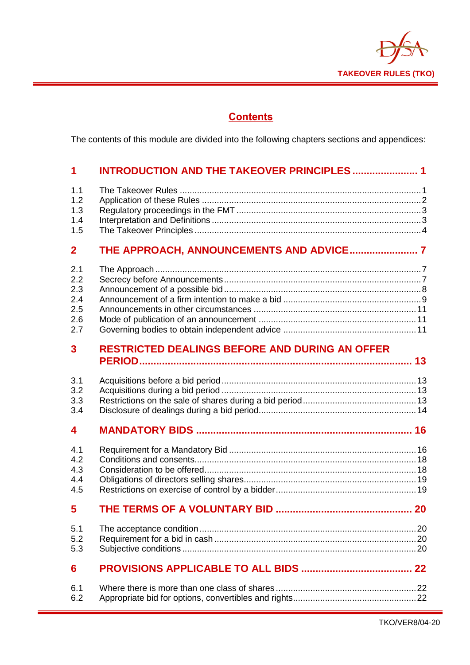

## **Contents**

The contents of this module are divided into the following chapters sections and appendices:

| 1                                             | <b>INTRODUCTION AND THE TAKEOVER PRINCIPLES  1</b>    |    |
|-----------------------------------------------|-------------------------------------------------------|----|
| 1.1<br>1.2<br>1.3<br>1.4<br>1.5               |                                                       |    |
| $\mathbf{2}$                                  |                                                       |    |
| 2.1<br>2.2<br>2.3<br>2.4<br>2.5<br>2.6<br>2.7 |                                                       |    |
| 3                                             | <b>RESTRICTED DEALINGS BEFORE AND DURING AN OFFER</b> |    |
| 3.1<br>3.2<br>3.3<br>3.4                      |                                                       |    |
| 4                                             |                                                       |    |
| 4.1<br>4.2<br>4.3<br>4.4<br>4.5               |                                                       |    |
| 5                                             |                                                       |    |
| 5.1<br>5.2<br>5.3                             |                                                       |    |
| 6                                             |                                                       | 22 |
| 6.1<br>6.2                                    |                                                       |    |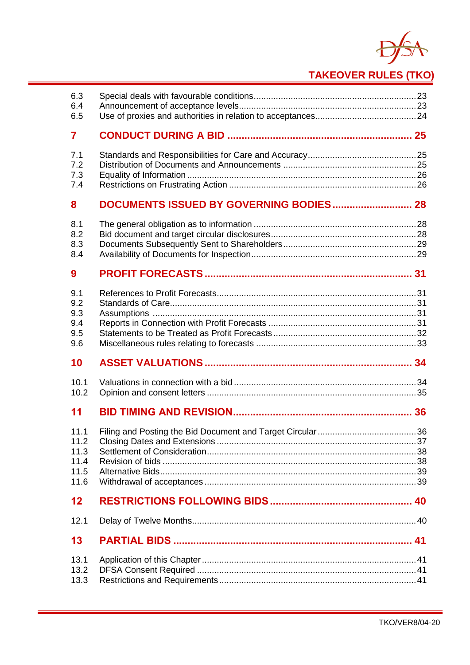

| 6.3        |  |
|------------|--|
| 6.4<br>6.5 |  |
| 7          |  |
|            |  |
| 7.1<br>7.2 |  |
| 7.3        |  |
| 7.4        |  |
| 8          |  |
| 8.1        |  |
| 8.2        |  |
| 8.3        |  |
| 8.4        |  |
| 9          |  |
| 9.1        |  |
| 9.2        |  |
| 9.3        |  |
| 9.4        |  |
| 9.5        |  |
| 9.6        |  |
| 10         |  |
| 10.1       |  |
| 10.2       |  |
| 11         |  |
| 11.1       |  |
| 11.2       |  |
| 11.3       |  |
| 11.4       |  |
| 11.5       |  |
| 11.6       |  |
| $12 \,$    |  |
| 12.1       |  |
| 13         |  |
| 13.1       |  |
| 13.2       |  |
| 13.3       |  |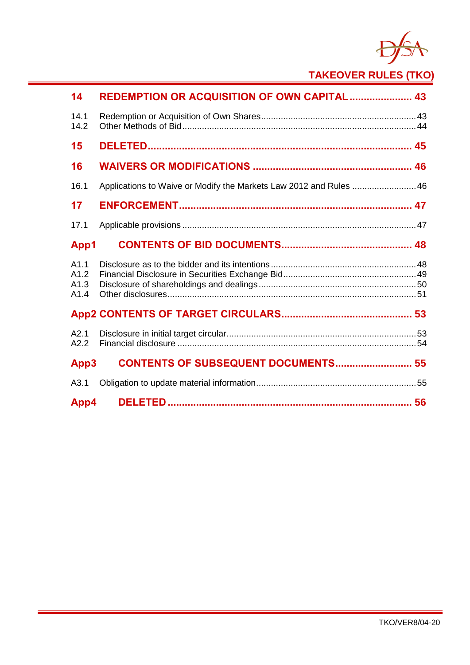

| 14                           | <b>REDEMPTION OR ACQUISITION OF OWN CAPITAL  43</b>                |  |
|------------------------------|--------------------------------------------------------------------|--|
| 14.1<br>14.2                 |                                                                    |  |
| 15                           |                                                                    |  |
| 16                           |                                                                    |  |
| 16.1                         | Applications to Waive or Modify the Markets Law 2012 and Rules  46 |  |
| 17                           |                                                                    |  |
| 17.1                         |                                                                    |  |
| App1                         |                                                                    |  |
| A1.1<br>A1.2<br>A1.3<br>A1.4 |                                                                    |  |
|                              |                                                                    |  |
| A2.1<br>A2.2                 |                                                                    |  |
| App3                         | <b>CONTENTS OF SUBSEQUENT DOCUMENTS 55</b>                         |  |
| A3.1                         |                                                                    |  |
| App4                         |                                                                    |  |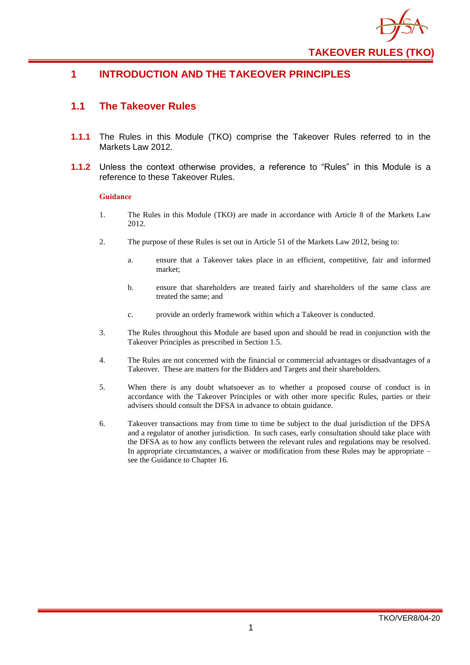

## <span id="page-4-0"></span>**1 INTRODUCTION AND THE TAKEOVER PRINCIPLES**

#### <span id="page-4-1"></span>**1.1 The Takeover Rules**

- **1.1.1** The Rules in this Module (TKO) comprise the Takeover Rules referred to in the Markets Law 2012
- **1.1.2** Unless the context otherwise provides, a reference to "Rules" in this Module is a reference to these Takeover Rules.

- 1. The Rules in this Module (TKO) are made in accordance with Article 8 of the Markets Law 2012.
- 2. The purpose of these Rules is set out in Article 51 of the Markets Law 2012, being to:
	- a. ensure that a Takeover takes place in an efficient, competitive, fair and informed market;
	- b. ensure that shareholders are treated fairly and shareholders of the same class are treated the same; and
	- c. provide an orderly framework within which a Takeover is conducted.
- 3. The Rules throughout this Module are based upon and should be read in conjunction with the Takeover Principles as prescribed in Section 1.5.
- 4. The Rules are not concerned with the financial or commercial advantages or disadvantages of a Takeover. These are matters for the Bidders and Targets and their shareholders.
- 5. When there is any doubt whatsoever as to whether a proposed course of conduct is in accordance with the Takeover Principles or with other more specific Rules, parties or their advisers should consult the DFSA in advance to obtain guidance.
- 6. Takeover transactions may from time to time be subject to the dual jurisdiction of the DFSA and a regulator of another jurisdiction. In such cases, early consultation should take place with the DFSA as to how any conflicts between the relevant rules and regulations may be resolved. In appropriate circumstances, a waiver or modification from these Rules may be appropriate – see the Guidance to Chapter 16.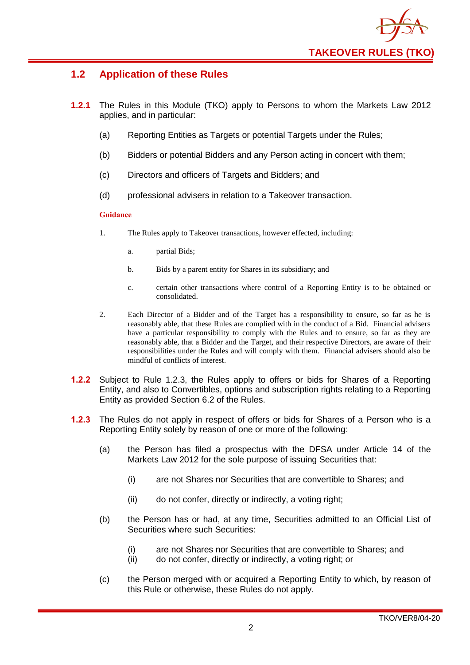

## <span id="page-5-0"></span>**1.2 Application of these Rules**

- **1.2.1** The Rules in this Module (TKO) apply to Persons to whom the Markets Law 2012 applies, and in particular:
	- (a) Reporting Entities as Targets or potential Targets under the Rules:
	- (b) Bidders or potential Bidders and any Person acting in concert with them;
	- (c) Directors and officers of Targets and Bidders; and
	- (d) professional advisers in relation to a Takeover transaction.

- 1. The Rules apply to Takeover transactions, however effected, including:
	- a. partial Bids;
	- b. Bids by a parent entity for Shares in its subsidiary; and
	- c. certain other transactions where control of a Reporting Entity is to be obtained or consolidated.
- 2. Each Director of a Bidder and of the Target has a responsibility to ensure, so far as he is reasonably able, that these Rules are complied with in the conduct of a Bid. Financial advisers have a particular responsibility to comply with the Rules and to ensure, so far as they are reasonably able, that a Bidder and the Target, and their respective Directors, are aware of their responsibilities under the Rules and will comply with them. Financial advisers should also be mindful of conflicts of interest.
- **1.2.2** Subject to Rule 1.2.3, the Rules apply to offers or bids for Shares of a Reporting Entity, and also to Convertibles, options and subscription rights relating to a Reporting Entity as provided Section 6.2 of the Rules.
- **1.2.3** The Rules do not apply in respect of offers or bids for Shares of a Person who is a Reporting Entity solely by reason of one or more of the following:
	- (a) the Person has filed a prospectus with the DFSA under Article 14 of the Markets Law 2012 for the sole purpose of issuing Securities that:
		- (i) are not Shares nor Securities that are convertible to Shares; and
		- (ii) do not confer, directly or indirectly, a voting right;
	- (b) the Person has or had, at any time, Securities admitted to an Official List of Securities where such Securities:
		- (i) are not Shares nor Securities that are convertible to Shares; and
		- (ii) do not confer, directly or indirectly, a voting right; or
	- (c) the Person merged with or acquired a Reporting Entity to which, by reason of this Rule or otherwise, these Rules do not apply.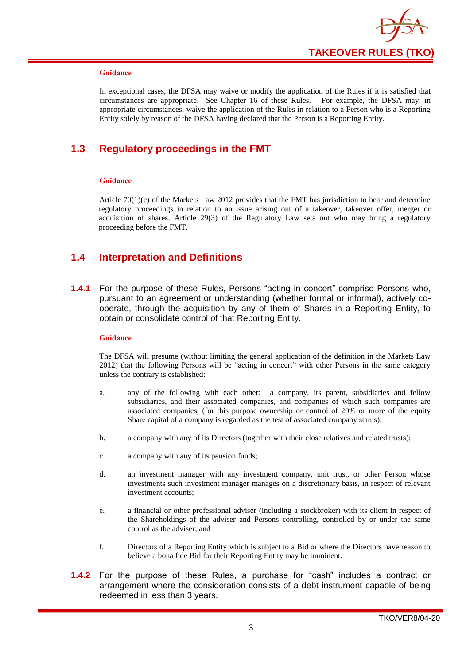

In exceptional cases, the DFSA may waive or modify the application of the Rules if it is satisfied that circumstances are appropriate. See Chapter 16 of these Rules. For example, the DFSA may, in appropriate circumstances, waive the application of the Rules in relation to a Person who is a Reporting Entity solely by reason of the DFSA having declared that the Person is a Reporting Entity.

## <span id="page-6-0"></span>**1.3 Regulatory proceedings in the FMT**

#### **Guidance**

Article 70(1)(c) of the Markets Law 2012 provides that the FMT has jurisdiction to hear and determine regulatory proceedings in relation to an issue arising out of a takeover, takeover offer, merger or acquisition of shares. Article 29(3) of the Regulatory Law sets out who may bring a regulatory proceeding before the FMT.

#### <span id="page-6-1"></span>**1.4 Interpretation and Definitions**

**1.4.1** For the purpose of these Rules, Persons "acting in concert" comprise Persons who, pursuant to an agreement or understanding (whether formal or informal), actively cooperate, through the acquisition by any of them of Shares in a Reporting Entity, to obtain or consolidate control of that Reporting Entity.

#### **Guidance**

The DFSA will presume (without limiting the general application of the definition in the Markets Law 2012) that the following Persons will be "acting in concert" with other Persons in the same category unless the contrary is established:

- a. any of the following with each other: a company, its parent, subsidiaries and fellow subsidiaries, and their associated companies, and companies of which such companies are associated companies, (for this purpose ownership or control of 20% or more of the equity Share capital of a company is regarded as the test of associated company status);
- b. a company with any of its Directors (together with their close relatives and related trusts);
- c. a company with any of its pension funds;
- d. an investment manager with any investment company, unit trust, or other Person whose investments such investment manager manages on a discretionary basis, in respect of relevant investment accounts;
- e. a financial or other professional adviser (including a stockbroker) with its client in respect of the Shareholdings of the adviser and Persons controlling, controlled by or under the same control as the adviser; and
- f. Directors of a Reporting Entity which is subject to a Bid or where the Directors have reason to believe a bona fide Bid for their Reporting Entity may be imminent.
- **1.4.2** For the purpose of these Rules, a purchase for "cash" includes a contract or arrangement where the consideration consists of a debt instrument capable of being redeemed in less than 3 years.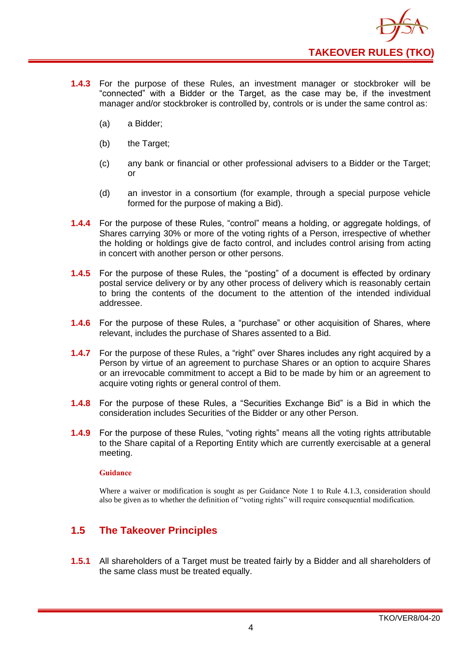

- **1.4.3** For the purpose of these Rules, an investment manager or stockbroker will be "connected" with a Bidder or the Target, as the case may be, if the investment manager and/or stockbroker is controlled by, controls or is under the same control as:
	- (a) a Bidder;
	- (b) the Target;
	- (c) any bank or financial or other professional advisers to a Bidder or the Target; or
	- (d) an investor in a consortium (for example, through a special purpose vehicle formed for the purpose of making a Bid).
- **1.4.4** For the purpose of these Rules, "control" means a holding, or aggregate holdings, of Shares carrying 30% or more of the voting rights of a Person, irrespective of whether the holding or holdings give de facto control, and includes control arising from acting in concert with another person or other persons.
- **1.4.5** For the purpose of these Rules, the "posting" of a document is effected by ordinary postal service delivery or by any other process of delivery which is reasonably certain to bring the contents of the document to the attention of the intended individual addressee.
- **1.4.6** For the purpose of these Rules, a "purchase" or other acquisition of Shares, where relevant, includes the purchase of Shares assented to a Bid.
- **1.4.7** For the purpose of these Rules, a "right" over Shares includes any right acquired by a Person by virtue of an agreement to purchase Shares or an option to acquire Shares or an irrevocable commitment to accept a Bid to be made by him or an agreement to acquire voting rights or general control of them.
- **1.4.8** For the purpose of these Rules, a "Securities Exchange Bid" is a Bid in which the consideration includes Securities of the Bidder or any other Person.
- **1.4.9** For the purpose of these Rules, "voting rights" means all the voting rights attributable to the Share capital of a Reporting Entity which are currently exercisable at a general meeting.

Where a waiver or modification is sought as per Guidance Note 1 to Rule 4.1.3, consideration should also be given as to whether the definition of "voting rights" will require consequential modification.

## <span id="page-7-0"></span>**1.5 The Takeover Principles**

**1.5.1** All shareholders of a Target must be treated fairly by a Bidder and all shareholders of the same class must be treated equally.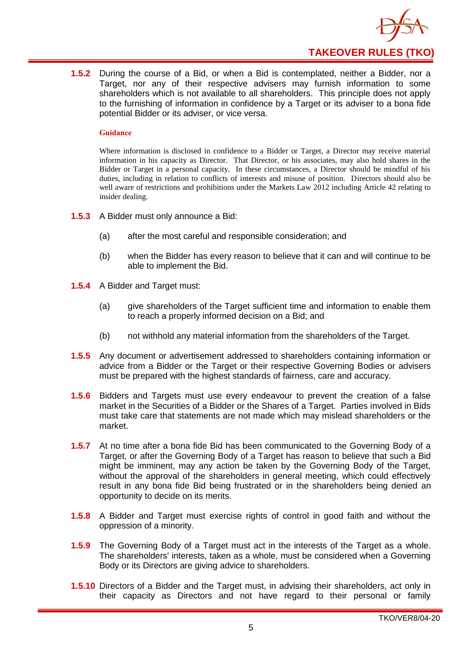

**1.5.2** During the course of a Bid, or when a Bid is contemplated, neither a Bidder, nor a Target, nor any of their respective advisers may furnish information to some shareholders which is not available to all shareholders. This principle does not apply to the furnishing of information in confidence by a Target or its adviser to a bona fide potential Bidder or its adviser, or vice versa.

#### **Guidance**

Where information is disclosed in confidence to a Bidder or Target, a Director may receive material information in his capacity as Director. That Director, or his associates, may also hold shares in the Bidder or Target in a personal capacity. In these circumstances, a Director should be mindful of his duties, including in relation to conflicts of interests and misuse of position. Directors should also be well aware of restrictions and prohibitions under the Markets Law 2012 including Article 42 relating to insider dealing.

- **1.5.3** A Bidder must only announce a Bid:
	- (a) after the most careful and responsible consideration; and
	- (b) when the Bidder has every reason to believe that it can and will continue to be able to implement the Bid.
- **1.5.4** A Bidder and Target must:
	- (a) give shareholders of the Target sufficient time and information to enable them to reach a properly informed decision on a Bid; and
	- (b) not withhold any material information from the shareholders of the Target.
- **1.5.5** Any document or advertisement addressed to shareholders containing information or advice from a Bidder or the Target or their respective Governing Bodies or advisers must be prepared with the highest standards of fairness, care and accuracy.
- **1.5.6** Bidders and Targets must use every endeavour to prevent the creation of a false market in the Securities of a Bidder or the Shares of a Target. Parties involved in Bids must take care that statements are not made which may mislead shareholders or the market.
- **1.5.7** At no time after a bona fide Bid has been communicated to the Governing Body of a Target, or after the Governing Body of a Target has reason to believe that such a Bid might be imminent, may any action be taken by the Governing Body of the Target, without the approval of the shareholders in general meeting, which could effectively result in any bona fide Bid being frustrated or in the shareholders being denied an opportunity to decide on its merits.
- **1.5.8** A Bidder and Target must exercise rights of control in good faith and without the oppression of a minority.
- **1.5.9** The Governing Body of a Target must act in the interests of the Target as a whole. The shareholders' interests, taken as a whole, must be considered when a Governing Body or its Directors are giving advice to shareholders.
- **1.5.10** Directors of a Bidder and the Target must, in advising their shareholders, act only in their capacity as Directors and not have regard to their personal or family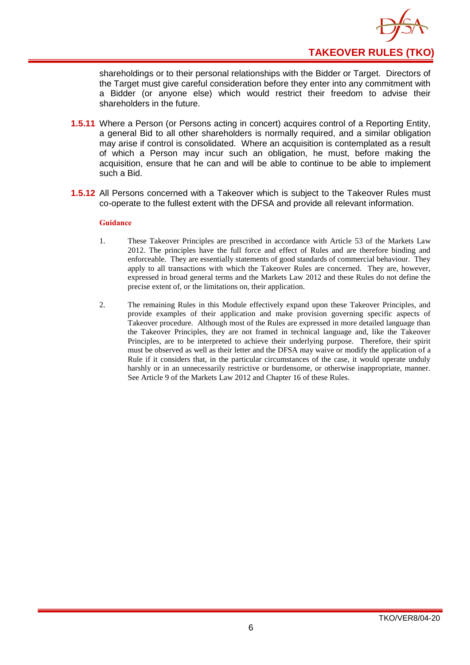

shareholdings or to their personal relationships with the Bidder or Target. Directors of the Target must give careful consideration before they enter into any commitment with a Bidder (or anyone else) which would restrict their freedom to advise their shareholders in the future.

- **1.5.11** Where a Person (or Persons acting in concert) acquires control of a Reporting Entity, a general Bid to all other shareholders is normally required, and a similar obligation may arise if control is consolidated. Where an acquisition is contemplated as a result of which a Person may incur such an obligation, he must, before making the acquisition, ensure that he can and will be able to continue to be able to implement such a Bid.
- **1.5.12** All Persons concerned with a Takeover which is subject to the Takeover Rules must co-operate to the fullest extent with the DFSA and provide all relevant information.

- 1. These Takeover Principles are prescribed in accordance with Article 53 of the Markets Law 2012. The principles have the full force and effect of Rules and are therefore binding and enforceable. They are essentially statements of good standards of commercial behaviour. They apply to all transactions with which the Takeover Rules are concerned. They are, however, expressed in broad general terms and the Markets Law 2012 and these Rules do not define the precise extent of, or the limitations on, their application.
- 2. The remaining Rules in this Module effectively expand upon these Takeover Principles, and provide examples of their application and make provision governing specific aspects of Takeover procedure. Although most of the Rules are expressed in more detailed language than the Takeover Principles, they are not framed in technical language and, like the Takeover Principles, are to be interpreted to achieve their underlying purpose. Therefore, their spirit must be observed as well as their letter and the DFSA may waive or modify the application of a Rule if it considers that, in the particular circumstances of the case, it would operate unduly harshly or in an unnecessarily restrictive or burdensome, or otherwise inappropriate, manner. See Article 9 of the Markets Law 2012 and Chapter 16 of these Rules.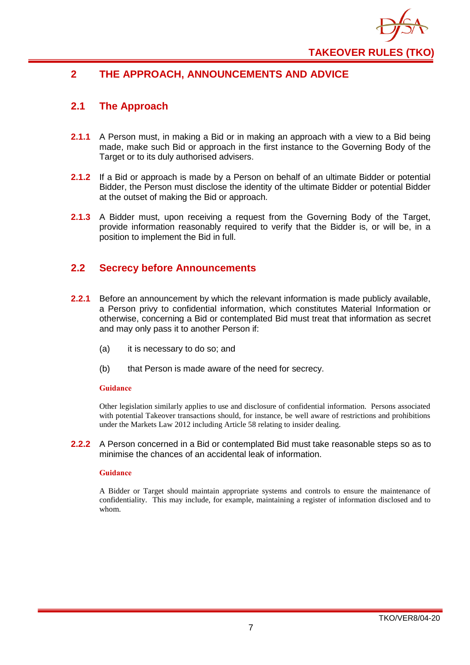

## <span id="page-10-0"></span>**2 THE APPROACH, ANNOUNCEMENTS AND ADVICE**

## <span id="page-10-1"></span>**2.1 The Approach**

- **2.1.1** A Person must, in making a Bid or in making an approach with a view to a Bid being made, make such Bid or approach in the first instance to the Governing Body of the Target or to its duly authorised advisers.
- **2.1.2** If a Bid or approach is made by a Person on behalf of an ultimate Bidder or potential Bidder, the Person must disclose the identity of the ultimate Bidder or potential Bidder at the outset of making the Bid or approach.
- **2.1.3** A Bidder must, upon receiving a request from the Governing Body of the Target, provide information reasonably required to verify that the Bidder is, or will be, in a position to implement the Bid in full.

## <span id="page-10-2"></span>**2.2 Secrecy before Announcements**

- **2.2.1** Before an announcement by which the relevant information is made publicly available, a Person privy to confidential information, which constitutes Material Information or otherwise, concerning a Bid or contemplated Bid must treat that information as secret and may only pass it to another Person if:
	- (a) it is necessary to do so; and
	- (b) that Person is made aware of the need for secrecy.

#### **Guidance**

Other legislation similarly applies to use and disclosure of confidential information. Persons associated with potential Takeover transactions should, for instance, be well aware of restrictions and prohibitions under the Markets Law 2012 including Article 58 relating to insider dealing.

#### **2.2.2** A Person concerned in a Bid or contemplated Bid must take reasonable steps so as to minimise the chances of an accidental leak of information.

#### **Guidance**

A Bidder or Target should maintain appropriate systems and controls to ensure the maintenance of confidentiality. This may include, for example, maintaining a register of information disclosed and to whom.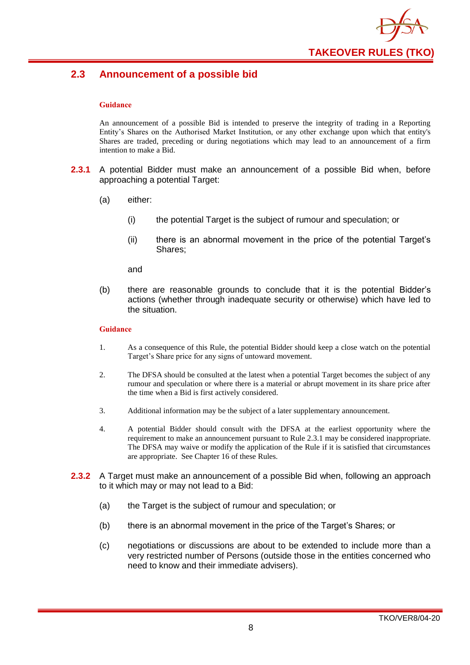

## <span id="page-11-0"></span>**2.3 Announcement of a possible bid**

#### **Guidance**

An announcement of a possible Bid is intended to preserve the integrity of trading in a Reporting Entity's Shares on the Authorised Market Institution, or any other exchange upon which that entity's Shares are traded, preceding or during negotiations which may lead to an announcement of a firm intention to make a Bid.

- **2.3.1** A potential Bidder must make an announcement of a possible Bid when, before approaching a potential Target:
	- (a) either:
		- (i) the potential Target is the subject of rumour and speculation; or
		- (ii) there is an abnormal movement in the price of the potential Target's Shares;

and

(b) there are reasonable grounds to conclude that it is the potential Bidder's actions (whether through inadequate security or otherwise) which have led to the situation.

- 1. As a consequence of this Rule, the potential Bidder should keep a close watch on the potential Target's Share price for any signs of untoward movement.
- 2. The DFSA should be consulted at the latest when a potential Target becomes the subject of any rumour and speculation or where there is a material or abrupt movement in its share price after the time when a Bid is first actively considered.
- 3. Additional information may be the subject of a later supplementary announcement.
- 4. A potential Bidder should consult with the DFSA at the earliest opportunity where the requirement to make an announcement pursuant to Rule 2.3.1 may be considered inappropriate. The DFSA may waive or modify the application of the Rule if it is satisfied that circumstances are appropriate. See Chapter 16 of these Rules.
- **2.3.2** A Target must make an announcement of a possible Bid when, following an approach to it which may or may not lead to a Bid:
	- (a) the Target is the subject of rumour and speculation; or
	- (b) there is an abnormal movement in the price of the Target's Shares; or
	- (c) negotiations or discussions are about to be extended to include more than a very restricted number of Persons (outside those in the entities concerned who need to know and their immediate advisers).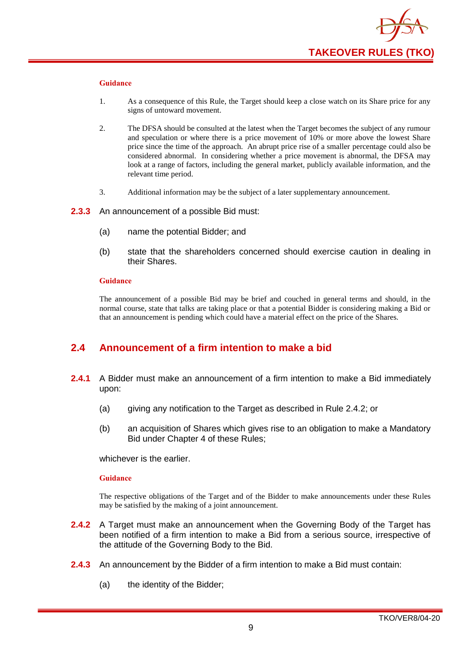

- 1. As a consequence of this Rule, the Target should keep a close watch on its Share price for any signs of untoward movement.
- 2. The DFSA should be consulted at the latest when the Target becomes the subject of any rumour and speculation or where there is a price movement of 10% or more above the lowest Share price since the time of the approach. An abrupt price rise of a smaller percentage could also be considered abnormal. In considering whether a price movement is abnormal, the DFSA may look at a range of factors, including the general market, publicly available information, and the relevant time period.
- 3. Additional information may be the subject of a later supplementary announcement.
- **2.3.3** An announcement of a possible Bid must:
	- (a) name the potential Bidder; and
	- (b) state that the shareholders concerned should exercise caution in dealing in their Shares.

#### **Guidance**

The announcement of a possible Bid may be brief and couched in general terms and should, in the normal course, state that talks are taking place or that a potential Bidder is considering making a Bid or that an announcement is pending which could have a material effect on the price of the Shares.

#### <span id="page-12-0"></span>**2.4 Announcement of a firm intention to make a bid**

- **2.4.1** A Bidder must make an announcement of a firm intention to make a Bid immediately upon:
	- (a) giving any notification to the Target as described in Rule 2.4.2; or
	- (b) an acquisition of Shares which gives rise to an obligation to make a Mandatory Bid under Chapter 4 of these Rules;

whichever is the earlier.

#### **Guidance**

The respective obligations of the Target and of the Bidder to make announcements under these Rules may be satisfied by the making of a joint announcement.

- **2.4.2** A Target must make an announcement when the Governing Body of the Target has been notified of a firm intention to make a Bid from a serious source, irrespective of the attitude of the Governing Body to the Bid.
- **2.4.3** An announcement by the Bidder of a firm intention to make a Bid must contain:
	- (a) the identity of the Bidder;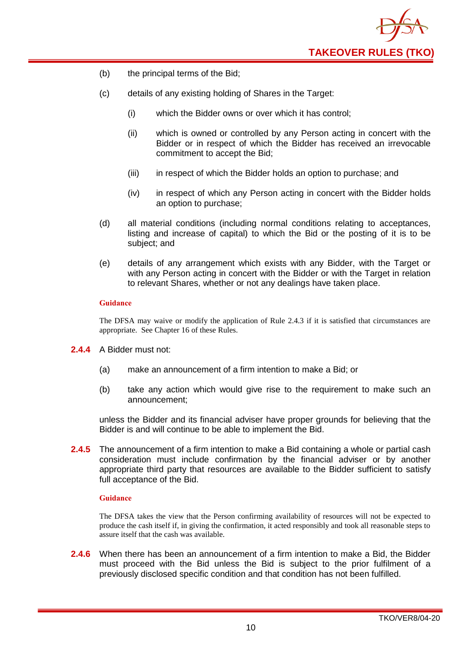

- (b) the principal terms of the Bid;
- (c) details of any existing holding of Shares in the Target:
	- (i) which the Bidder owns or over which it has control;
	- (ii) which is owned or controlled by any Person acting in concert with the Bidder or in respect of which the Bidder has received an irrevocable commitment to accept the Bid;
	- (iii) in respect of which the Bidder holds an option to purchase; and
	- (iv) in respect of which any Person acting in concert with the Bidder holds an option to purchase;
- (d) all material conditions (including normal conditions relating to acceptances, listing and increase of capital) to which the Bid or the posting of it is to be subject; and
- (e) details of any arrangement which exists with any Bidder, with the Target or with any Person acting in concert with the Bidder or with the Target in relation to relevant Shares, whether or not any dealings have taken place.

The DFSA may waive or modify the application of Rule 2.4.3 if it is satisfied that circumstances are appropriate. See Chapter 16 of these Rules.

- **2.4.4** A Bidder must not:
	- (a) make an announcement of a firm intention to make a Bid; or
	- (b) take any action which would give rise to the requirement to make such an announcement;

unless the Bidder and its financial adviser have proper grounds for believing that the Bidder is and will continue to be able to implement the Bid.

**2.4.5** The announcement of a firm intention to make a Bid containing a whole or partial cash consideration must include confirmation by the financial adviser or by another appropriate third party that resources are available to the Bidder sufficient to satisfy full acceptance of the Bid.

#### **Guidance**

The DFSA takes the view that the Person confirming availability of resources will not be expected to produce the cash itself if, in giving the confirmation, it acted responsibly and took all reasonable steps to assure itself that the cash was available.

**2.4.6** When there has been an announcement of a firm intention to make a Bid, the Bidder must proceed with the Bid unless the Bid is subject to the prior fulfilment of a previously disclosed specific condition and that condition has not been fulfilled.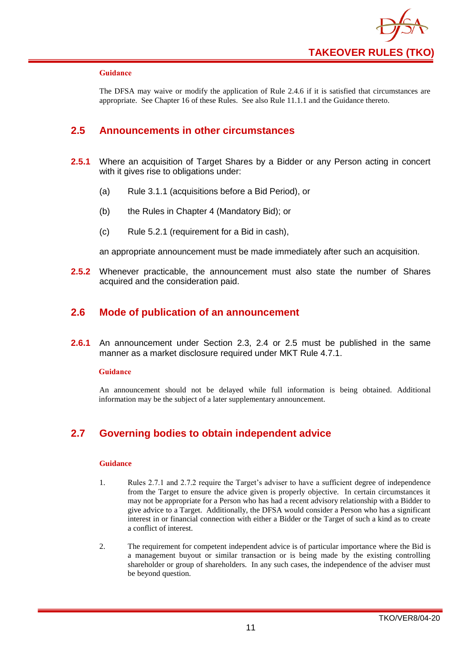

The DFSA may waive or modify the application of Rule 2.4.6 if it is satisfied that circumstances are appropriate. See Chapter 16 of these Rules. See also Rule 11.1.1 and the Guidance thereto.

## <span id="page-14-0"></span>**2.5 Announcements in other circumstances**

- **2.5.1** Where an acquisition of Target Shares by a Bidder or any Person acting in concert with it gives rise to obligations under:
	- (a) Rule 3.1.1 (acquisitions before a Bid Period), or
	- (b) the Rules in Chapter 4 (Mandatory Bid); or
	- (c) Rule 5.2.1 (requirement for a Bid in cash),

an appropriate announcement must be made immediately after such an acquisition.

**2.5.2** Whenever practicable, the announcement must also state the number of Shares acquired and the consideration paid.

#### <span id="page-14-1"></span>**2.6 Mode of publication of an announcement**

**2.6.1** An announcement under Section 2.3, 2.4 or 2.5 must be published in the same manner as a market disclosure required under MKT Rule 4.7.1.

#### **Guidance**

An announcement should not be delayed while full information is being obtained. Additional information may be the subject of a later supplementary announcement.

## <span id="page-14-2"></span>**2.7 Governing bodies to obtain independent advice**

- 1. Rules 2.7.1 and 2.7.2 require the Target's adviser to have a sufficient degree of independence from the Target to ensure the advice given is properly objective. In certain circumstances it may not be appropriate for a Person who has had a recent advisory relationship with a Bidder to give advice to a Target. Additionally, the DFSA would consider a Person who has a significant interest in or financial connection with either a Bidder or the Target of such a kind as to create a conflict of interest.
- 2. The requirement for competent independent advice is of particular importance where the Bid is a management buyout or similar transaction or is being made by the existing controlling shareholder or group of shareholders. In any such cases, the independence of the adviser must be beyond question.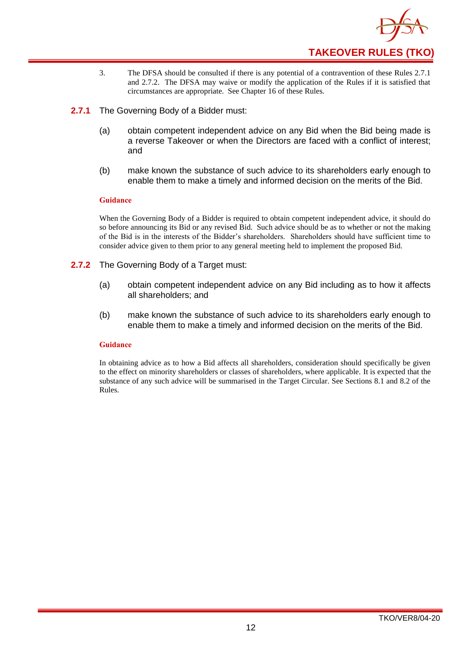

- 3. The DFSA should be consulted if there is any potential of a contravention of these Rules 2.7.1 and 2.7.2. The DFSA may waive or modify the application of the Rules if it is satisfied that circumstances are appropriate. See Chapter 16 of these Rules.
- **2.7.1** The Governing Body of a Bidder must:
	- (a) obtain competent independent advice on any Bid when the Bid being made is a reverse Takeover or when the Directors are faced with a conflict of interest; and
	- (b) make known the substance of such advice to its shareholders early enough to enable them to make a timely and informed decision on the merits of the Bid.

When the Governing Body of a Bidder is required to obtain competent independent advice, it should do so before announcing its Bid or any revised Bid. Such advice should be as to whether or not the making of the Bid is in the interests of the Bidder's shareholders. Shareholders should have sufficient time to consider advice given to them prior to any general meeting held to implement the proposed Bid.

- **2.7.2** The Governing Body of a Target must:
	- (a) obtain competent independent advice on any Bid including as to how it affects all shareholders; and
	- (b) make known the substance of such advice to its shareholders early enough to enable them to make a timely and informed decision on the merits of the Bid.

#### **Guidance**

In obtaining advice as to how a Bid affects all shareholders, consideration should specifically be given to the effect on minority shareholders or classes of shareholders, where applicable. It is expected that the substance of any such advice will be summarised in the Target Circular. See Sections 8.1 and 8.2 of the Rules.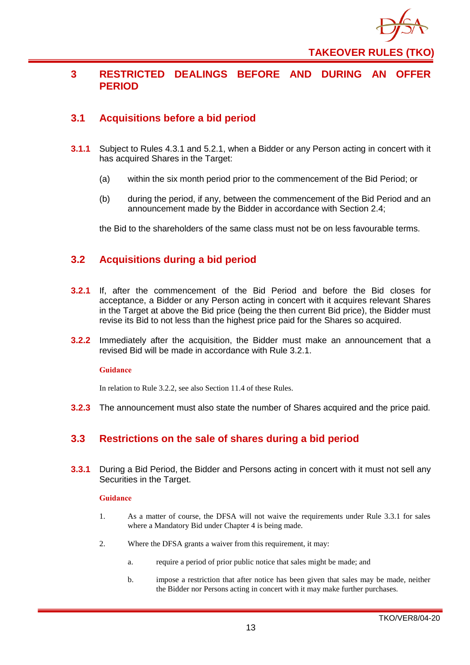

## <span id="page-16-0"></span>**3 RESTRICTED DEALINGS BEFORE AND DURING AN OFFER PERIOD**

## <span id="page-16-1"></span>**3.1 Acquisitions before a bid period**

- **3.1.1** Subject to Rules 4.3.1 and 5.2.1, when a Bidder or any Person acting in concert with it has acquired Shares in the Target:
	- (a) within the six month period prior to the commencement of the Bid Period; or
	- (b) during the period, if any, between the commencement of the Bid Period and an announcement made by the Bidder in accordance with Section 2.4;

the Bid to the shareholders of the same class must not be on less favourable terms.

## <span id="page-16-2"></span>**3.2 Acquisitions during a bid period**

- **3.2.1** If, after the commencement of the Bid Period and before the Bid closes for acceptance, a Bidder or any Person acting in concert with it acquires relevant Shares in the Target at above the Bid price (being the then current Bid price), the Bidder must revise its Bid to not less than the highest price paid for the Shares so acquired.
- **3.2.2** Immediately after the acquisition, the Bidder must make an announcement that a revised Bid will be made in accordance with Rule 3.2.1.

#### **Guidance**

In relation to Rule 3.2.2, see also Section 11.4 of these Rules.

**3.2.3** The announcement must also state the number of Shares acquired and the price paid.

## <span id="page-16-3"></span>**3.3 Restrictions on the sale of shares during a bid period**

**3.3.1** During a Bid Period, the Bidder and Persons acting in concert with it must not sell any Securities in the Target.

- 1. As a matter of course, the DFSA will not waive the requirements under Rule 3.3.1 for sales where a Mandatory Bid under Chapter 4 is being made.
- 2. Where the DFSA grants a waiver from this requirement, it may:
	- a. require a period of prior public notice that sales might be made; and
	- b. impose a restriction that after notice has been given that sales may be made, neither the Bidder nor Persons acting in concert with it may make further purchases.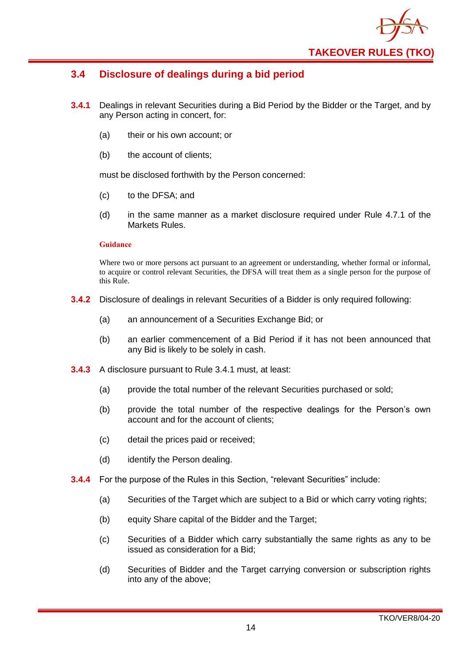

## <span id="page-17-0"></span>**3.4 Disclosure of dealings during a bid period**

- **3.4.1** Dealings in relevant Securities during a Bid Period by the Bidder or the Target, and by any Person acting in concert, for:
	- (a) their or his own account; or
	- (b) the account of clients;

must be disclosed forthwith by the Person concerned:

- (c) to the DFSA; and
- (d) in the same manner as a market disclosure required under Rule 4.7.1 of the Markets Rules.

#### **Guidance**

Where two or more persons act pursuant to an agreement or understanding, whether formal or informal, to acquire or control relevant Securities, the DFSA will treat them as a single person for the purpose of this Rule.

- **3.4.2** Disclosure of dealings in relevant Securities of a Bidder is only required following:
	- (a) an announcement of a Securities Exchange Bid; or
	- (b) an earlier commencement of a Bid Period if it has not been announced that any Bid is likely to be solely in cash.
- **3.4.3** A disclosure pursuant to Rule 3.4.1 must, at least:
	- (a) provide the total number of the relevant Securities purchased or sold;
	- (b) provide the total number of the respective dealings for the Person's own account and for the account of clients;
	- (c) detail the prices paid or received;
	- (d) identify the Person dealing.
- **3.4.4** For the purpose of the Rules in this Section, "relevant Securities" include:
	- (a) Securities of the Target which are subject to a Bid or which carry voting rights;
	- (b) equity Share capital of the Bidder and the Target;
	- (c) Securities of a Bidder which carry substantially the same rights as any to be issued as consideration for a Bid;
	- (d) Securities of Bidder and the Target carrying conversion or subscription rights into any of the above;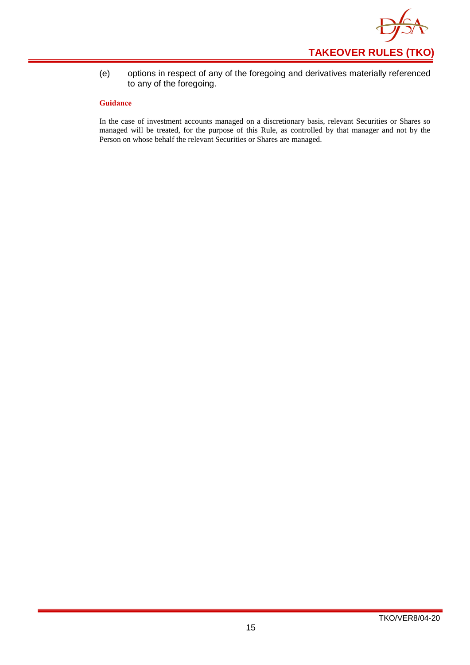

(e) options in respect of any of the foregoing and derivatives materially referenced to any of the foregoing.

#### **Guidance**

In the case of investment accounts managed on a discretionary basis, relevant Securities or Shares so managed will be treated, for the purpose of this Rule, as controlled by that manager and not by the Person on whose behalf the relevant Securities or Shares are managed.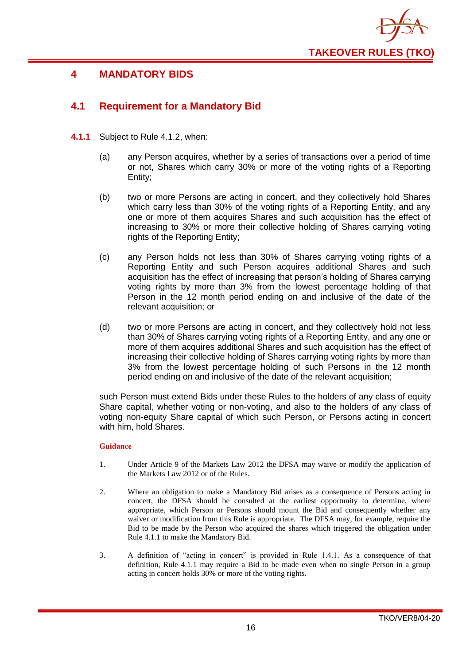

## <span id="page-19-0"></span>**4 MANDATORY BIDS**

## <span id="page-19-1"></span>**4.1 Requirement for a Mandatory Bid**

- **4.1.1** Subject to Rule 4.1.2, when:
	- (a) any Person acquires, whether by a series of transactions over a period of time or not, Shares which carry 30% or more of the voting rights of a Reporting Entity;
	- (b) two or more Persons are acting in concert, and they collectively hold Shares which carry less than 30% of the voting rights of a Reporting Entity, and any one or more of them acquires Shares and such acquisition has the effect of increasing to 30% or more their collective holding of Shares carrying voting rights of the Reporting Entity;
	- (c) any Person holds not less than 30% of Shares carrying voting rights of a Reporting Entity and such Person acquires additional Shares and such acquisition has the effect of increasing that person's holding of Shares carrying voting rights by more than 3% from the lowest percentage holding of that Person in the 12 month period ending on and inclusive of the date of the relevant acquisition; or
	- (d) two or more Persons are acting in concert, and they collectively hold not less than 30% of Shares carrying voting rights of a Reporting Entity, and any one or more of them acquires additional Shares and such acquisition has the effect of increasing their collective holding of Shares carrying voting rights by more than 3% from the lowest percentage holding of such Persons in the 12 month period ending on and inclusive of the date of the relevant acquisition;

such Person must extend Bids under these Rules to the holders of any class of equity Share capital, whether voting or non-voting, and also to the holders of any class of voting non-equity Share capital of which such Person, or Persons acting in concert with him, hold Shares.

- 1. Under Article 9 of the Markets Law 2012 the DFSA may waive or modify the application of the Markets Law 2012 or of the Rules.
- 2. Where an obligation to make a Mandatory Bid arises as a consequence of Persons acting in concert, the DFSA should be consulted at the earliest opportunity to determine, where appropriate, which Person or Persons should mount the Bid and consequently whether any waiver or modification from this Rule is appropriate. The DFSA may, for example, require the Bid to be made by the Person who acquired the shares which triggered the obligation under Rule 4.1.1 to make the Mandatory Bid.
- 3. A definition of "acting in concert" is provided in Rule 1.4.1. As a consequence of that definition, Rule 4.1.1 may require a Bid to be made even when no single Person in a group acting in concert holds 30% or more of the voting rights.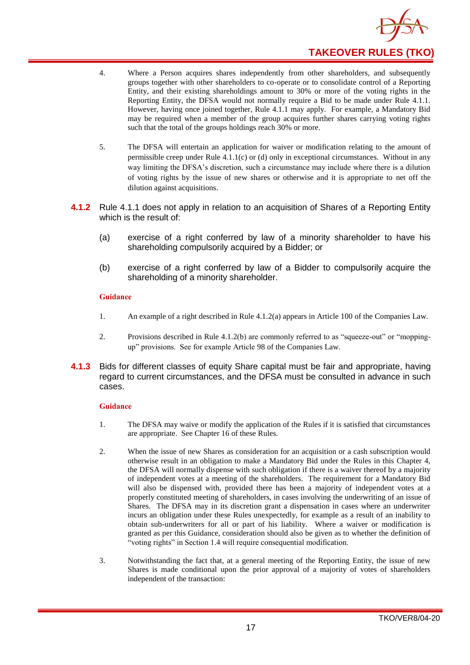

- 4. Where a Person acquires shares independently from other shareholders, and subsequently groups together with other shareholders to co-operate or to consolidate control of a Reporting Entity, and their existing shareholdings amount to 30% or more of the voting rights in the Reporting Entity, the DFSA would not normally require a Bid to be made under Rule 4.1.1. However, having once joined together, Rule 4.1.1 may apply. For example, a Mandatory Bid may be required when a member of the group acquires further shares carrying voting rights such that the total of the groups holdings reach 30% or more.
- 5. The DFSA will entertain an application for waiver or modification relating to the amount of permissible creep under Rule  $4.1.1(c)$  or (d) only in exceptional circumstances. Without in any way limiting the DFSA's discretion, such a circumstance may include where there is a dilution of voting rights by the issue of new shares or otherwise and it is appropriate to net off the dilution against acquisitions.
- **4.1.2** Rule 4.1.1 does not apply in relation to an acquisition of Shares of a Reporting Entity which is the result of:
	- (a) exercise of a right conferred by law of a minority shareholder to have his shareholding compulsorily acquired by a Bidder; or
	- (b) exercise of a right conferred by law of a Bidder to compulsorily acquire the shareholding of a minority shareholder.

- 1. An example of a right described in Rule 4.1.2(a) appears in Article 100 of the Companies Law.
- 2. Provisions described in Rule 4.1.2(b) are commonly referred to as "squeeze-out" or "moppingup" provisions. See for example Article 98 of the Companies Law.
- **4.1.3** Bids for different classes of equity Share capital must be fair and appropriate, having regard to current circumstances, and the DFSA must be consulted in advance in such cases.

- 1. The DFSA may waive or modify the application of the Rules if it is satisfied that circumstances are appropriate. See Chapter 16 of these Rules.
- 2. When the issue of new Shares as consideration for an acquisition or a cash subscription would otherwise result in an obligation to make a Mandatory Bid under the Rules in this Chapter 4, the DFSA will normally dispense with such obligation if there is a waiver thereof by a majority of independent votes at a meeting of the shareholders. The requirement for a Mandatory Bid will also be dispensed with, provided there has been a majority of independent votes at a properly constituted meeting of shareholders, in cases involving the underwriting of an issue of Shares. The DFSA may in its discretion grant a dispensation in cases where an underwriter incurs an obligation under these Rules unexpectedly, for example as a result of an inability to obtain sub-underwriters for all or part of his liability. Where a waiver or modification is granted as per this Guidance, consideration should also be given as to whether the definition of "voting rights" in Section 1.4 will require consequential modification.
- 3. Notwithstanding the fact that, at a general meeting of the Reporting Entity, the issue of new Shares is made conditional upon the prior approval of a majority of votes of shareholders independent of the transaction: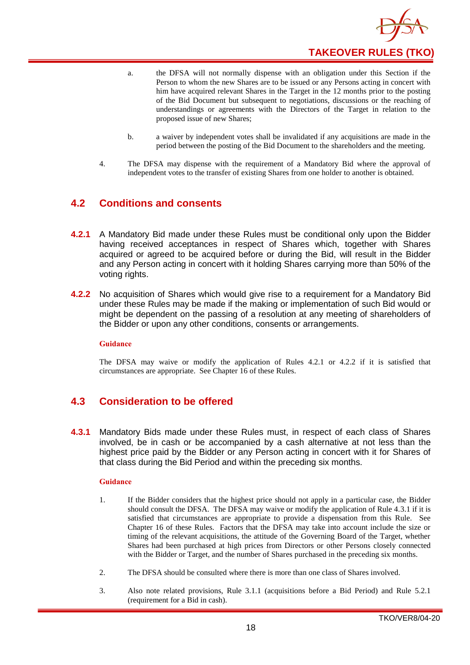

- a. the DFSA will not normally dispense with an obligation under this Section if the Person to whom the new Shares are to be issued or any Persons acting in concert with him have acquired relevant Shares in the Target in the 12 months prior to the posting of the Bid Document but subsequent to negotiations, discussions or the reaching of understandings or agreements with the Directors of the Target in relation to the proposed issue of new Shares;
- b. a waiver by independent votes shall be invalidated if any acquisitions are made in the period between the posting of the Bid Document to the shareholders and the meeting.
- 4. The DFSA may dispense with the requirement of a Mandatory Bid where the approval of independent votes to the transfer of existing Shares from one holder to another is obtained.

## <span id="page-21-0"></span>**4.2 Conditions and consents**

- **4.2.1** A Mandatory Bid made under these Rules must be conditional only upon the Bidder having received acceptances in respect of Shares which, together with Shares acquired or agreed to be acquired before or during the Bid, will result in the Bidder and any Person acting in concert with it holding Shares carrying more than 50% of the voting rights.
- **4.2.2** No acquisition of Shares which would give rise to a requirement for a Mandatory Bid under these Rules may be made if the making or implementation of such Bid would or might be dependent on the passing of a resolution at any meeting of shareholders of the Bidder or upon any other conditions, consents or arrangements.

#### **Guidance**

The DFSA may waive or modify the application of Rules 4.2.1 or 4.2.2 if it is satisfied that circumstances are appropriate. See Chapter 16 of these Rules.

## <span id="page-21-1"></span>**4.3 Consideration to be offered**

**4.3.1** Mandatory Bids made under these Rules must, in respect of each class of Shares involved, be in cash or be accompanied by a cash alternative at not less than the highest price paid by the Bidder or any Person acting in concert with it for Shares of that class during the Bid Period and within the preceding six months.

- 1. If the Bidder considers that the highest price should not apply in a particular case, the Bidder should consult the DFSA. The DFSA may waive or modify the application of Rule 4.3.1 if it is satisfied that circumstances are appropriate to provide a dispensation from this Rule. See Chapter 16 of these Rules. Factors that the DFSA may take into account include the size or timing of the relevant acquisitions, the attitude of the Governing Board of the Target, whether Shares had been purchased at high prices from Directors or other Persons closely connected with the Bidder or Target, and the number of Shares purchased in the preceding six months.
- 2. The DFSA should be consulted where there is more than one class of Shares involved.
- 3. Also note related provisions, Rule 3.1.1 (acquisitions before a Bid Period) and Rule 5.2.1 (requirement for a Bid in cash).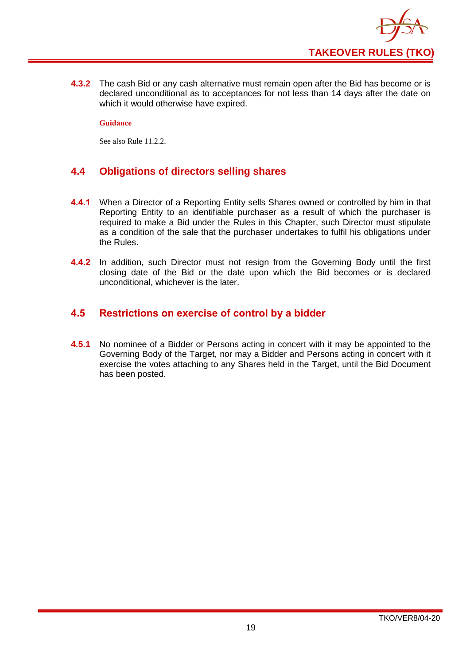

**4.3.2** The cash Bid or any cash alternative must remain open after the Bid has become or is declared unconditional as to acceptances for not less than 14 days after the date on which it would otherwise have expired.

**Guidance**

See also Rule 11.2.2.

## <span id="page-22-0"></span>**4.4 Obligations of directors selling shares**

- **4.4.1** When a Director of a Reporting Entity sells Shares owned or controlled by him in that Reporting Entity to an identifiable purchaser as a result of which the purchaser is required to make a Bid under the Rules in this Chapter, such Director must stipulate as a condition of the sale that the purchaser undertakes to fulfil his obligations under the Rules.
- **4.4.2** In addition, such Director must not resign from the Governing Body until the first closing date of the Bid or the date upon which the Bid becomes or is declared unconditional, whichever is the later.

## <span id="page-22-1"></span>**4.5 Restrictions on exercise of control by a bidder**

**4.5.1** No nominee of a Bidder or Persons acting in concert with it may be appointed to the Governing Body of the Target, nor may a Bidder and Persons acting in concert with it exercise the votes attaching to any Shares held in the Target, until the Bid Document has been posted.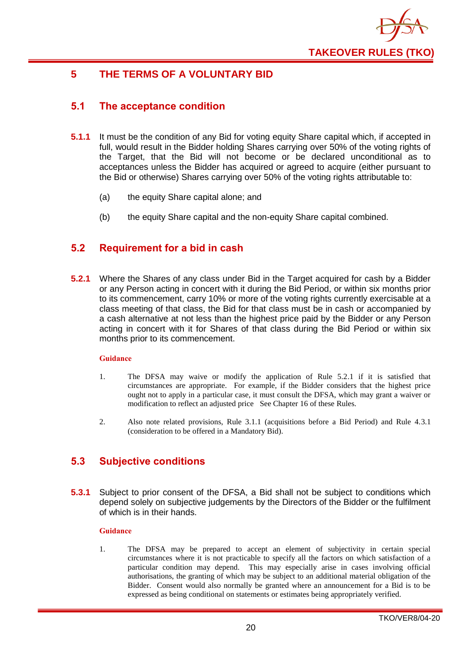

## <span id="page-23-0"></span>**5 THE TERMS OF A VOLUNTARY BID**

## <span id="page-23-1"></span>**5.1 The acceptance condition**

- **5.1.1** It must be the condition of any Bid for voting equity Share capital which, if accepted in full, would result in the Bidder holding Shares carrying over 50% of the voting rights of the Target, that the Bid will not become or be declared unconditional as to acceptances unless the Bidder has acquired or agreed to acquire (either pursuant to the Bid or otherwise) Shares carrying over 50% of the voting rights attributable to:
	- (a) the equity Share capital alone; and
	- (b) the equity Share capital and the non-equity Share capital combined.

## <span id="page-23-2"></span>**5.2 Requirement for a bid in cash**

**5.2.1** Where the Shares of any class under Bid in the Target acquired for cash by a Bidder or any Person acting in concert with it during the Bid Period, or within six months prior to its commencement, carry 10% or more of the voting rights currently exercisable at a class meeting of that class, the Bid for that class must be in cash or accompanied by a cash alternative at not less than the highest price paid by the Bidder or any Person acting in concert with it for Shares of that class during the Bid Period or within six months prior to its commencement.

#### **Guidance**

- 1. The DFSA may waive or modify the application of Rule 5.2.1 if it is satisfied that circumstances are appropriate. For example, if the Bidder considers that the highest price ought not to apply in a particular case, it must consult the DFSA, which may grant a waiver or modification to reflect an adjusted price See Chapter 16 of these Rules.
- 2. Also note related provisions, Rule 3.1.1 (acquisitions before a Bid Period) and Rule 4.3.1 (consideration to be offered in a Mandatory Bid).

## <span id="page-23-3"></span>**5.3 Subjective conditions**

**5.3.1** Subject to prior consent of the DFSA, a Bid shall not be subject to conditions which depend solely on subjective judgements by the Directors of the Bidder or the fulfilment of which is in their hands.

#### **Guidance**

1. The DFSA may be prepared to accept an element of subjectivity in certain special circumstances where it is not practicable to specify all the factors on which satisfaction of a particular condition may depend. This may especially arise in cases involving official authorisations, the granting of which may be subject to an additional material obligation of the Bidder. Consent would also normally be granted where an announcement for a Bid is to be expressed as being conditional on statements or estimates being appropriately verified.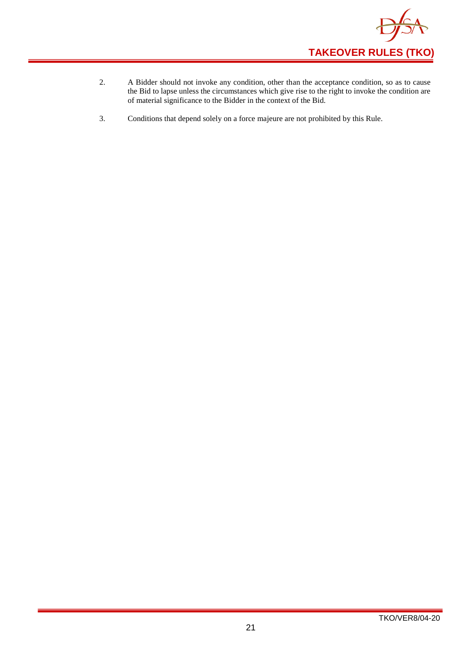

- 2. A Bidder should not invoke any condition, other than the acceptance condition, so as to cause the Bid to lapse unless the circumstances which give rise to the right to invoke the condition are of material significance to the Bidder in the context of the Bid.
- 3. Conditions that depend solely on a force majeure are not prohibited by this Rule.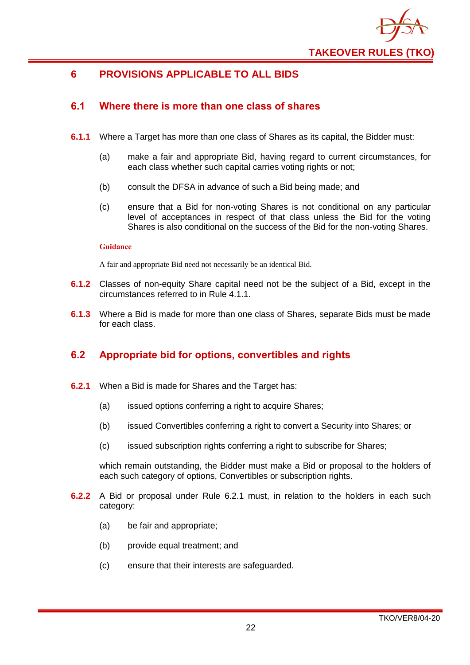

## <span id="page-25-0"></span>**6 PROVISIONS APPLICABLE TO ALL BIDS**

## <span id="page-25-1"></span>**6.1 Where there is more than one class of shares**

- **6.1.1** Where a Target has more than one class of Shares as its capital, the Bidder must:
	- (a) make a fair and appropriate Bid, having regard to current circumstances, for each class whether such capital carries voting rights or not;
	- (b) consult the DFSA in advance of such a Bid being made; and
	- (c) ensure that a Bid for non-voting Shares is not conditional on any particular level of acceptances in respect of that class unless the Bid for the voting Shares is also conditional on the success of the Bid for the non-voting Shares.

#### **Guidance**

A fair and appropriate Bid need not necessarily be an identical Bid.

- **6.1.2** Classes of non-equity Share capital need not be the subject of a Bid, except in the circumstances referred to in Rule 4.1.1.
- **6.1.3** Where a Bid is made for more than one class of Shares, separate Bids must be made for each class.

## <span id="page-25-2"></span>**6.2 Appropriate bid for options, convertibles and rights**

- **6.2.1** When a Bid is made for Shares and the Target has:
	- (a) issued options conferring a right to acquire Shares;
	- (b) issued Convertibles conferring a right to convert a Security into Shares; or
	- (c) issued subscription rights conferring a right to subscribe for Shares;

which remain outstanding, the Bidder must make a Bid or proposal to the holders of each such category of options, Convertibles or subscription rights.

- **6.2.2** A Bid or proposal under Rule 6.2.1 must, in relation to the holders in each such category:
	- (a) be fair and appropriate;
	- (b) provide equal treatment; and
	- (c) ensure that their interests are safeguarded.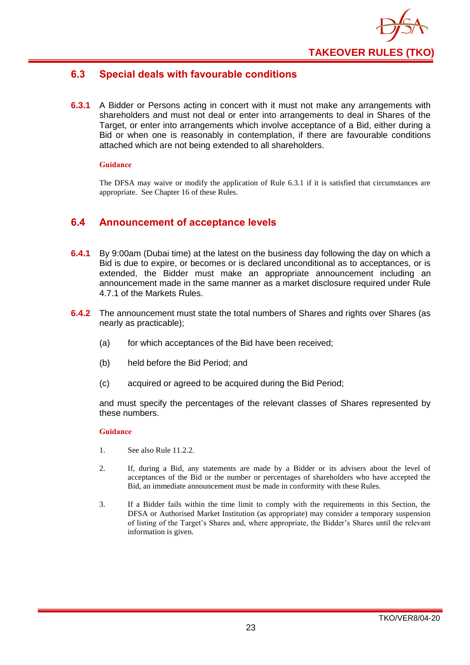

## <span id="page-26-0"></span>**6.3 Special deals with favourable conditions**

**6.3.1** A Bidder or Persons acting in concert with it must not make any arrangements with shareholders and must not deal or enter into arrangements to deal in Shares of the Target, or enter into arrangements which involve acceptance of a Bid, either during a Bid or when one is reasonably in contemplation, if there are favourable conditions attached which are not being extended to all shareholders.

#### **Guidance**

The DFSA may waive or modify the application of Rule 6.3.1 if it is satisfied that circumstances are appropriate. See Chapter 16 of these Rules.

#### <span id="page-26-1"></span>**6.4 Announcement of acceptance levels**

- **6.4.1** By 9:00am (Dubai time) at the latest on the business day following the day on which a Bid is due to expire, or becomes or is declared unconditional as to acceptances, or is extended, the Bidder must make an appropriate announcement including an announcement made in the same manner as a market disclosure required under Rule 4.7.1 of the Markets Rules.
- **6.4.2** The announcement must state the total numbers of Shares and rights over Shares (as nearly as practicable);
	- (a) for which acceptances of the Bid have been received;
	- (b) held before the Bid Period; and
	- (c) acquired or agreed to be acquired during the Bid Period;

and must specify the percentages of the relevant classes of Shares represented by these numbers.

- 1. See also Rule 11.2.2.
- 2. If, during a Bid, any statements are made by a Bidder or its advisers about the level of acceptances of the Bid or the number or percentages of shareholders who have accepted the Bid, an immediate announcement must be made in conformity with these Rules.
- 3. If a Bidder fails within the time limit to comply with the requirements in this Section, the DFSA or Authorised Market Institution (as appropriate) may consider a temporary suspension of listing of the Target's Shares and, where appropriate, the Bidder's Shares until the relevant information is given.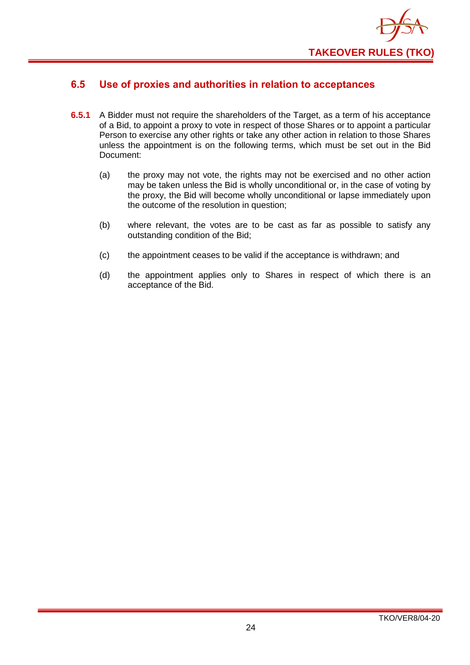

## <span id="page-27-0"></span>**6.5 Use of proxies and authorities in relation to acceptances**

- **6.5.1** A Bidder must not require the shareholders of the Target, as a term of his acceptance of a Bid, to appoint a proxy to vote in respect of those Shares or to appoint a particular Person to exercise any other rights or take any other action in relation to those Shares unless the appointment is on the following terms, which must be set out in the Bid Document:
	- (a) the proxy may not vote, the rights may not be exercised and no other action may be taken unless the Bid is wholly unconditional or, in the case of voting by the proxy, the Bid will become wholly unconditional or lapse immediately upon the outcome of the resolution in question;
	- (b) where relevant, the votes are to be cast as far as possible to satisfy any outstanding condition of the Bid;
	- (c) the appointment ceases to be valid if the acceptance is withdrawn; and
	- (d) the appointment applies only to Shares in respect of which there is an acceptance of the Bid.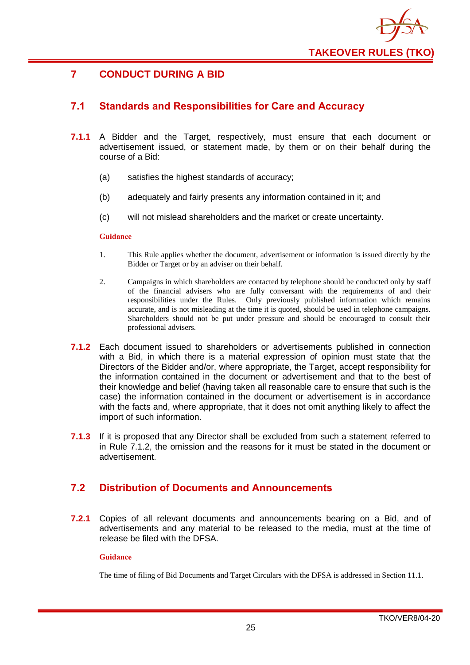

## <span id="page-28-0"></span>**7 CONDUCT DURING A BID**

## <span id="page-28-1"></span>**7.1 Standards and Responsibilities for Care and Accuracy**

- **7.1.1** A Bidder and the Target, respectively, must ensure that each document or advertisement issued, or statement made, by them or on their behalf during the course of a Bid:
	- (a) satisfies the highest standards of accuracy;
	- (b) adequately and fairly presents any information contained in it; and
	- (c) will not mislead shareholders and the market or create uncertainty.

#### **Guidance**

- 1. This Rule applies whether the document, advertisement or information is issued directly by the Bidder or Target or by an adviser on their behalf.
- 2. Campaigns in which shareholders are contacted by telephone should be conducted only by staff of the financial advisers who are fully conversant with the requirements of and their responsibilities under the Rules. Only previously published information which remains accurate, and is not misleading at the time it is quoted, should be used in telephone campaigns. Shareholders should not be put under pressure and should be encouraged to consult their professional advisers.
- **7.1.2** Each document issued to shareholders or advertisements published in connection with a Bid, in which there is a material expression of opinion must state that the Directors of the Bidder and/or, where appropriate, the Target, accept responsibility for the information contained in the document or advertisement and that to the best of their knowledge and belief (having taken all reasonable care to ensure that such is the case) the information contained in the document or advertisement is in accordance with the facts and, where appropriate, that it does not omit anything likely to affect the import of such information.
- **7.1.3** If it is proposed that any Director shall be excluded from such a statement referred to in Rule 7.1.2, the omission and the reasons for it must be stated in the document or advertisement.

## <span id="page-28-2"></span>**7.2 Distribution of Documents and Announcements**

**7.2.1** Copies of all relevant documents and announcements bearing on a Bid, and of advertisements and any material to be released to the media, must at the time of release be filed with the DFSA.

#### **Guidance**

The time of filing of Bid Documents and Target Circulars with the DFSA is addressed in Section 11.1.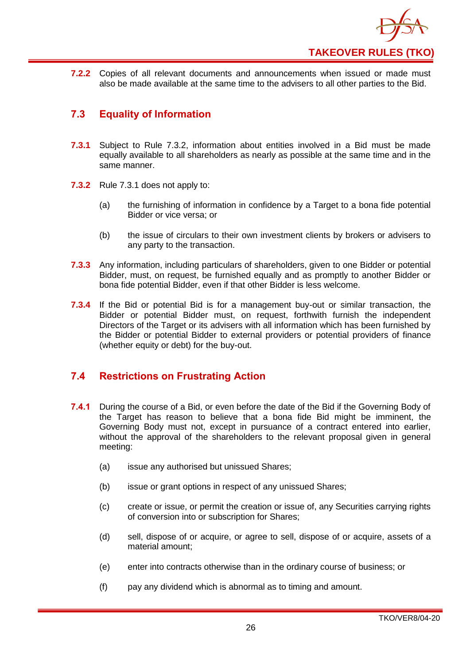

**7.2.2** Copies of all relevant documents and announcements when issued or made must also be made available at the same time to the advisers to all other parties to the Bid.

## <span id="page-29-0"></span>**7.3 Equality of Information**

- **7.3.1** Subject to Rule 7.3.2, information about entities involved in a Bid must be made equally available to all shareholders as nearly as possible at the same time and in the same manner.
- **7.3.2** Rule 7.3.1 does not apply to:
	- (a) the furnishing of information in confidence by a Target to a bona fide potential Bidder or vice versa; or
	- (b) the issue of circulars to their own investment clients by brokers or advisers to any party to the transaction.
- **7.3.3** Any information, including particulars of shareholders, given to one Bidder or potential Bidder, must, on request, be furnished equally and as promptly to another Bidder or bona fide potential Bidder, even if that other Bidder is less welcome.
- **7.3.4** If the Bid or potential Bid is for a management buy-out or similar transaction, the Bidder or potential Bidder must, on request, forthwith furnish the independent Directors of the Target or its advisers with all information which has been furnished by the Bidder or potential Bidder to external providers or potential providers of finance (whether equity or debt) for the buy-out.

## <span id="page-29-1"></span>**7.4 Restrictions on Frustrating Action**

- **7.4.1** During the course of a Bid, or even before the date of the Bid if the Governing Body of the Target has reason to believe that a bona fide Bid might be imminent, the Governing Body must not, except in pursuance of a contract entered into earlier, without the approval of the shareholders to the relevant proposal given in general meeting:
	- (a) issue any authorised but unissued Shares;
	- (b) issue or grant options in respect of any unissued Shares;
	- (c) create or issue, or permit the creation or issue of, any Securities carrying rights of conversion into or subscription for Shares;
	- (d) sell, dispose of or acquire, or agree to sell, dispose of or acquire, assets of a material amount;
	- (e) enter into contracts otherwise than in the ordinary course of business; or
	- (f) pay any dividend which is abnormal as to timing and amount.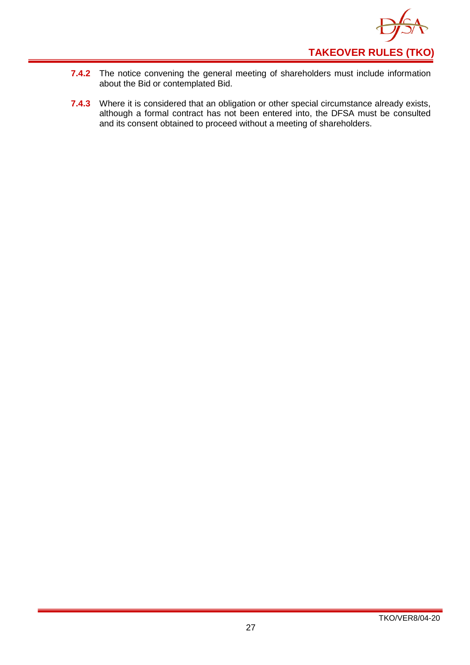

- **7.4.2** The notice convening the general meeting of shareholders must include information about the Bid or contemplated Bid.
- **7.4.3** Where it is considered that an obligation or other special circumstance already exists, although a formal contract has not been entered into, the DFSA must be consulted and its consent obtained to proceed without a meeting of shareholders.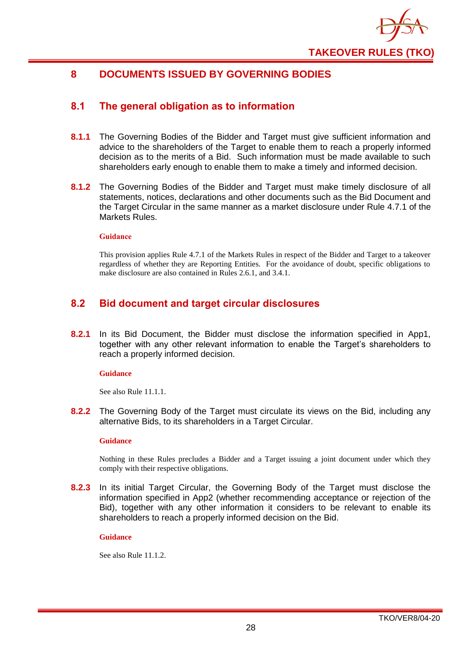

## <span id="page-31-0"></span>**8 DOCUMENTS ISSUED BY GOVERNING BODIES**

#### <span id="page-31-1"></span>**8.1 The general obligation as to information**

- **8.1.1** The Governing Bodies of the Bidder and Target must give sufficient information and advice to the shareholders of the Target to enable them to reach a properly informed decision as to the merits of a Bid. Such information must be made available to such shareholders early enough to enable them to make a timely and informed decision.
- **8.1.2** The Governing Bodies of the Bidder and Target must make timely disclosure of all statements, notices, declarations and other documents such as the Bid Document and the Target Circular in the same manner as a market disclosure under Rule 4.7.1 of the Markets Rules.

#### **Guidance**

This provision applies Rule 4.7.1 of the Markets Rules in respect of the Bidder and Target to a takeover regardless of whether they are Reporting Entities. For the avoidance of doubt, specific obligations to make disclosure are also contained in Rules 2.6.1, and 3.4.1.

## <span id="page-31-2"></span>**8.2 Bid document and target circular disclosures**

**8.2.1** In its Bid Document, the Bidder must disclose the information specified in App1, together with any other relevant information to enable the Target's shareholders to reach a properly informed decision.

#### **Guidance**

See also Rule 11.1.1.

**8.2.2** The Governing Body of the Target must circulate its views on the Bid, including any alternative Bids, to its shareholders in a Target Circular.

#### **Guidance**

Nothing in these Rules precludes a Bidder and a Target issuing a joint document under which they comply with their respective obligations.

**8.2.3** In its initial Target Circular, the Governing Body of the Target must disclose the information specified in App2 (whether recommending acceptance or rejection of the Bid), together with any other information it considers to be relevant to enable its shareholders to reach a properly informed decision on the Bid.

#### **Guidance**

See also Rule 11.1.2.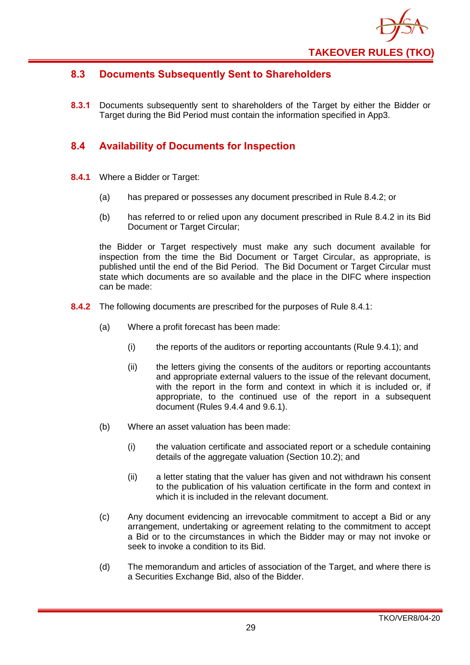

## <span id="page-32-0"></span>**8.3 Documents Subsequently Sent to Shareholders**

**8.3.1** Documents subsequently sent to shareholders of the Target by either the Bidder or Target during the Bid Period must contain the information specified in App3.

## <span id="page-32-1"></span>**8.4 Availability of Documents for Inspection**

- **8.4.1** Where a Bidder or Target:
	- (a) has prepared or possesses any document prescribed in Rule 8.4.2; or
	- (b) has referred to or relied upon any document prescribed in Rule 8.4.2 in its Bid Document or Target Circular;

the Bidder or Target respectively must make any such document available for inspection from the time the Bid Document or Target Circular, as appropriate, is published until the end of the Bid Period. The Bid Document or Target Circular must state which documents are so available and the place in the DIFC where inspection can be made:

- **8.4.2** The following documents are prescribed for the purposes of Rule 8.4.1:
	- (a) Where a profit forecast has been made:
		- (i) the reports of the auditors or reporting accountants (Rule 9.4.1); and
		- (ii) the letters giving the consents of the auditors or reporting accountants and appropriate external valuers to the issue of the relevant document, with the report in the form and context in which it is included or, if appropriate, to the continued use of the report in a subsequent document (Rules 9.4.4 and 9.6.1).
	- (b) Where an asset valuation has been made:
		- (i) the valuation certificate and associated report or a schedule containing details of the aggregate valuation (Section 10.2); and
		- (ii) a letter stating that the valuer has given and not withdrawn his consent to the publication of his valuation certificate in the form and context in which it is included in the relevant document.
	- (c) Any document evidencing an irrevocable commitment to accept a Bid or any arrangement, undertaking or agreement relating to the commitment to accept a Bid or to the circumstances in which the Bidder may or may not invoke or seek to invoke a condition to its Bid.
	- (d) The memorandum and articles of association of the Target, and where there is a Securities Exchange Bid, also of the Bidder.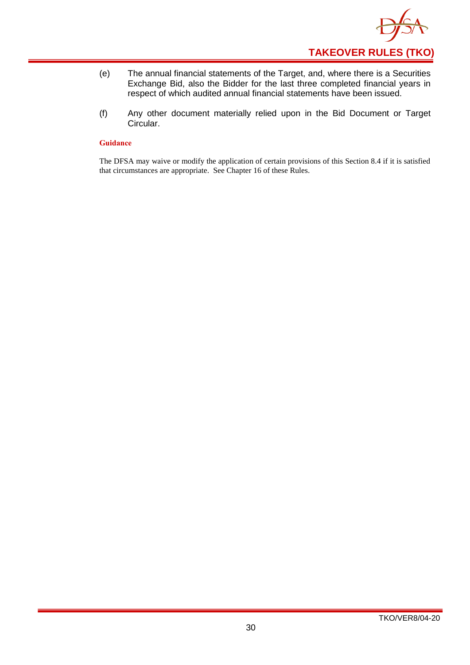

- (e) The annual financial statements of the Target, and, where there is a Securities Exchange Bid, also the Bidder for the last three completed financial years in respect of which audited annual financial statements have been issued.
- (f) Any other document materially relied upon in the Bid Document or Target Circular.

The DFSA may waive or modify the application of certain provisions of this Section 8.4 if it is satisfied that circumstances are appropriate. See Chapter 16 of these Rules.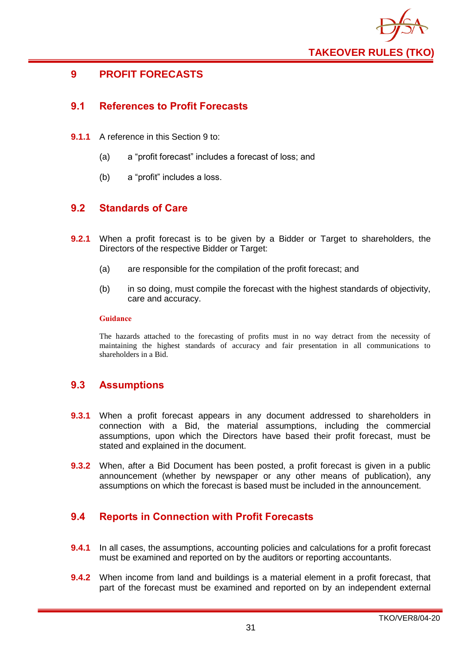

## <span id="page-34-0"></span>**9 PROFIT FORECASTS**

## <span id="page-34-1"></span>**9.1 References to Profit Forecasts**

- **9.1.1** A reference in this Section 9 to:
	- (a) a "profit forecast" includes a forecast of loss; and
	- (b) a "profit" includes a loss.

## <span id="page-34-2"></span>**9.2 Standards of Care**

- **9.2.1** When a profit forecast is to be given by a Bidder or Target to shareholders, the Directors of the respective Bidder or Target:
	- (a) are responsible for the compilation of the profit forecast; and
	- (b) in so doing, must compile the forecast with the highest standards of objectivity, care and accuracy.

#### **Guidance**

The hazards attached to the forecasting of profits must in no way detract from the necessity of maintaining the highest standards of accuracy and fair presentation in all communications to shareholders in a Bid.

## <span id="page-34-3"></span>**9.3 Assumptions**

- **9.3.1** When a profit forecast appears in any document addressed to shareholders in connection with a Bid, the material assumptions, including the commercial assumptions, upon which the Directors have based their profit forecast, must be stated and explained in the document.
- **9.3.2** When, after a Bid Document has been posted, a profit forecast is given in a public announcement (whether by newspaper or any other means of publication), any assumptions on which the forecast is based must be included in the announcement.

## <span id="page-34-4"></span>**9.4 Reports in Connection with Profit Forecasts**

- **9.4.1** In all cases, the assumptions, accounting policies and calculations for a profit forecast must be examined and reported on by the auditors or reporting accountants.
- **9.4.2** When income from land and buildings is a material element in a profit forecast, that part of the forecast must be examined and reported on by an independent external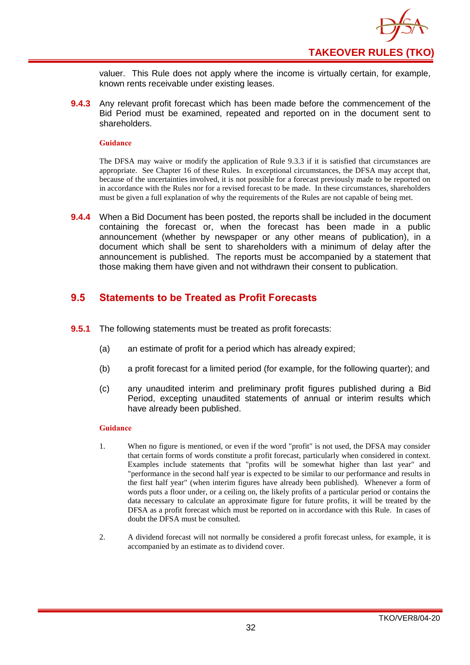

valuer. This Rule does not apply where the income is virtually certain, for example, known rents receivable under existing leases.

**9.4.3** Any relevant profit forecast which has been made before the commencement of the Bid Period must be examined, repeated and reported on in the document sent to shareholders.

#### **Guidance**

The DFSA may waive or modify the application of Rule 9.3.3 if it is satisfied that circumstances are appropriate. See Chapter 16 of these Rules. In exceptional circumstances, the DFSA may accept that, because of the uncertainties involved, it is not possible for a forecast previously made to be reported on in accordance with the Rules nor for a revised forecast to be made. In these circumstances, shareholders must be given a full explanation of why the requirements of the Rules are not capable of being met.

**9.4.4** When a Bid Document has been posted, the reports shall be included in the document containing the forecast or, when the forecast has been made in a public announcement (whether by newspaper or any other means of publication), in a document which shall be sent to shareholders with a minimum of delay after the announcement is published. The reports must be accompanied by a statement that those making them have given and not withdrawn their consent to publication.

## <span id="page-35-0"></span>**9.5 Statements to be Treated as Profit Forecasts**

- **9.5.1** The following statements must be treated as profit forecasts:
	- (a) an estimate of profit for a period which has already expired;
	- (b) a profit forecast for a limited period (for example, for the following quarter); and
	- (c) any unaudited interim and preliminary profit figures published during a Bid Period, excepting unaudited statements of annual or interim results which have already been published.

- 1. When no figure is mentioned, or even if the word "profit" is not used, the DFSA may consider that certain forms of words constitute a profit forecast, particularly when considered in context. Examples include statements that "profits will be somewhat higher than last year" and "performance in the second half year is expected to be similar to our performance and results in the first half year" (when interim figures have already been published). Whenever a form of words puts a floor under, or a ceiling on, the likely profits of a particular period or contains the data necessary to calculate an approximate figure for future profits, it will be treated by the DFSA as a profit forecast which must be reported on in accordance with this Rule. In cases of doubt the DFSA must be consulted.
- 2. A dividend forecast will not normally be considered a profit forecast unless, for example, it is accompanied by an estimate as to dividend cover.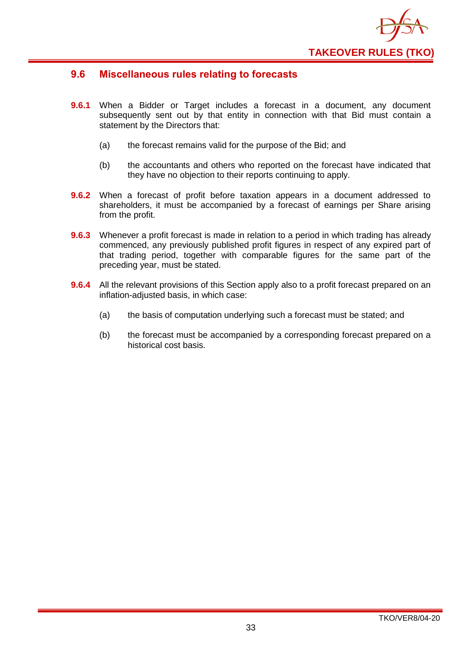

#### <span id="page-36-0"></span>**9.6 Miscellaneous rules relating to forecasts**

- **9.6.1** When a Bidder or Target includes a forecast in a document, any document subsequently sent out by that entity in connection with that Bid must contain a statement by the Directors that:
	- (a) the forecast remains valid for the purpose of the Bid; and
	- (b) the accountants and others who reported on the forecast have indicated that they have no objection to their reports continuing to apply.
- **9.6.2** When a forecast of profit before taxation appears in a document addressed to shareholders, it must be accompanied by a forecast of earnings per Share arising from the profit.
- **9.6.3** Whenever a profit forecast is made in relation to a period in which trading has already commenced, any previously published profit figures in respect of any expired part of that trading period, together with comparable figures for the same part of the preceding year, must be stated.
- **9.6.4** All the relevant provisions of this Section apply also to a profit forecast prepared on an inflation-adjusted basis, in which case:
	- (a) the basis of computation underlying such a forecast must be stated; and
	- (b) the forecast must be accompanied by a corresponding forecast prepared on a historical cost basis.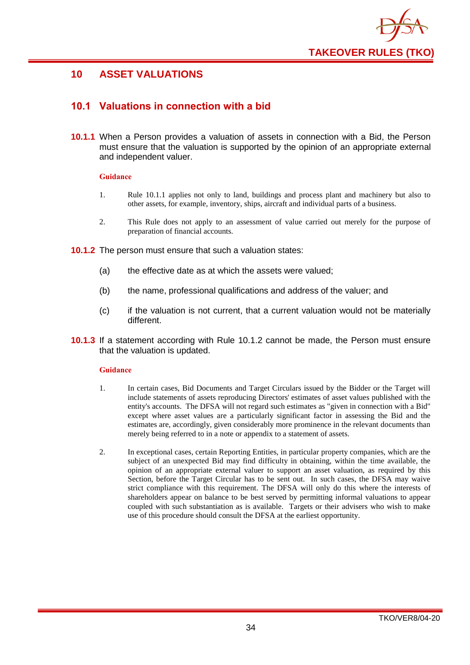

## <span id="page-37-0"></span>**10 ASSET VALUATIONS**

## <span id="page-37-1"></span>**10.1 Valuations in connection with a bid**

**10.1.1** When a Person provides a valuation of assets in connection with a Bid, the Person must ensure that the valuation is supported by the opinion of an appropriate external and independent valuer.

#### **Guidance**

- 1. Rule 10.1.1 applies not only to land, buildings and process plant and machinery but also to other assets, for example, inventory, ships, aircraft and individual parts of a business.
- 2. This Rule does not apply to an assessment of value carried out merely for the purpose of preparation of financial accounts.
- **10.1.2** The person must ensure that such a valuation states:
	- (a) the effective date as at which the assets were valued;
	- (b) the name, professional qualifications and address of the valuer; and
	- (c) if the valuation is not current, that a current valuation would not be materially different.
- **10.1.3** If a statement according with Rule 10.1.2 cannot be made, the Person must ensure that the valuation is updated.

- 1. In certain cases, Bid Documents and Target Circulars issued by the Bidder or the Target will include statements of assets reproducing Directors' estimates of asset values published with the entity's accounts. The DFSA will not regard such estimates as "given in connection with a Bid" except where asset values are a particularly significant factor in assessing the Bid and the estimates are, accordingly, given considerably more prominence in the relevant documents than merely being referred to in a note or appendix to a statement of assets.
- 2. In exceptional cases, certain Reporting Entities, in particular property companies, which are the subject of an unexpected Bid may find difficulty in obtaining, within the time available, the opinion of an appropriate external valuer to support an asset valuation, as required by this Section, before the Target Circular has to be sent out. In such cases, the DFSA may waive strict compliance with this requirement. The DFSA will only do this where the interests of shareholders appear on balance to be best served by permitting informal valuations to appear coupled with such substantiation as is available. Targets or their advisers who wish to make use of this procedure should consult the DFSA at the earliest opportunity.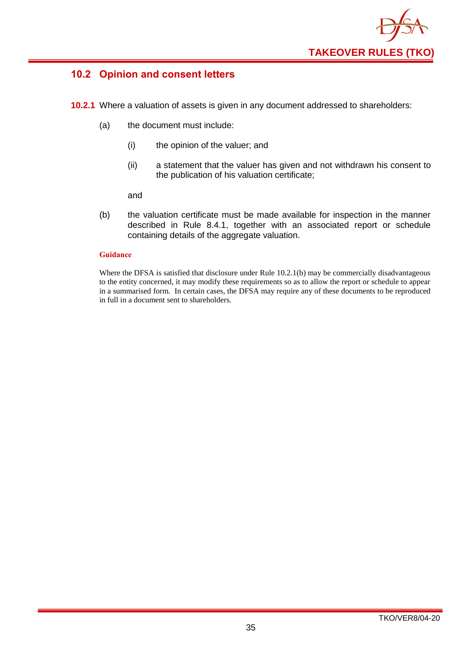

## <span id="page-38-0"></span>**10.2 Opinion and consent letters**

- **10.2.1** Where a valuation of assets is given in any document addressed to shareholders:
	- (a) the document must include:
		- (i) the opinion of the valuer; and
		- (ii) a statement that the valuer has given and not withdrawn his consent to the publication of his valuation certificate;

and

(b) the valuation certificate must be made available for inspection in the manner described in Rule 8.4.1, together with an associated report or schedule containing details of the aggregate valuation.

#### **Guidance**

Where the DFSA is satisfied that disclosure under Rule 10.2.1(b) may be commercially disadvantageous to the entity concerned, it may modify these requirements so as to allow the report or schedule to appear in a summarised form. In certain cases, the DFSA may require any of these documents to be reproduced in full in a document sent to shareholders.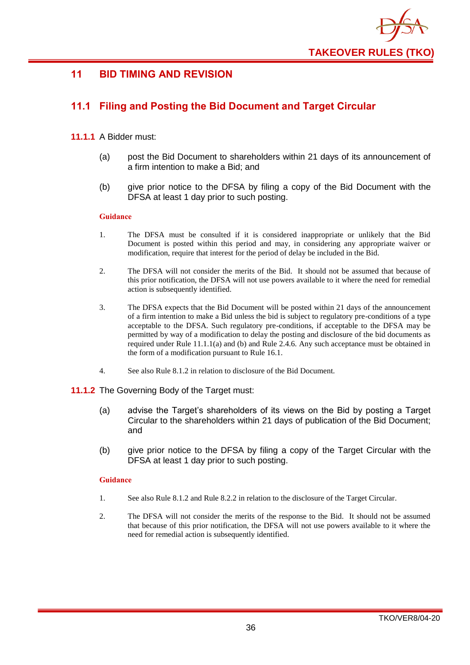

## <span id="page-39-0"></span>**11 BID TIMING AND REVISION**

## <span id="page-39-1"></span>**11.1 Filing and Posting the Bid Document and Target Circular**

#### **11.1.1** A Bidder must:

- (a) post the Bid Document to shareholders within 21 days of its announcement of a firm intention to make a Bid; and
- (b) give prior notice to the DFSA by filing a copy of the Bid Document with the DFSA at least 1 day prior to such posting.

#### **Guidance**

- 1. The DFSA must be consulted if it is considered inappropriate or unlikely that the Bid Document is posted within this period and may, in considering any appropriate waiver or modification, require that interest for the period of delay be included in the Bid.
- 2. The DFSA will not consider the merits of the Bid. It should not be assumed that because of this prior notification, the DFSA will not use powers available to it where the need for remedial action is subsequently identified.
- 3. The DFSA expects that the Bid Document will be posted within 21 days of the announcement of a firm intention to make a Bid unless the bid is subject to regulatory pre-conditions of a type acceptable to the DFSA. Such regulatory pre-conditions, if acceptable to the DFSA may be permitted by way of a modification to delay the posting and disclosure of the bid documents as required under Rule 11.1.1(a) and (b) and Rule 2.4.6. Any such acceptance must be obtained in the form of a modification pursuant to Rule 16.1.
- 4. See also Rule 8.1.2 in relation to disclosure of the Bid Document.

#### **11.1.2** The Governing Body of the Target must:

- (a) advise the Target's shareholders of its views on the Bid by posting a Target Circular to the shareholders within 21 days of publication of the Bid Document; and
- (b) give prior notice to the DFSA by filing a copy of the Target Circular with the DFSA at least 1 day prior to such posting.

- 1. See also Rule 8.1.2 and Rule 8.2.2 in relation to the disclosure of the Target Circular.
- 2. The DFSA will not consider the merits of the response to the Bid. It should not be assumed that because of this prior notification, the DFSA will not use powers available to it where the need for remedial action is subsequently identified.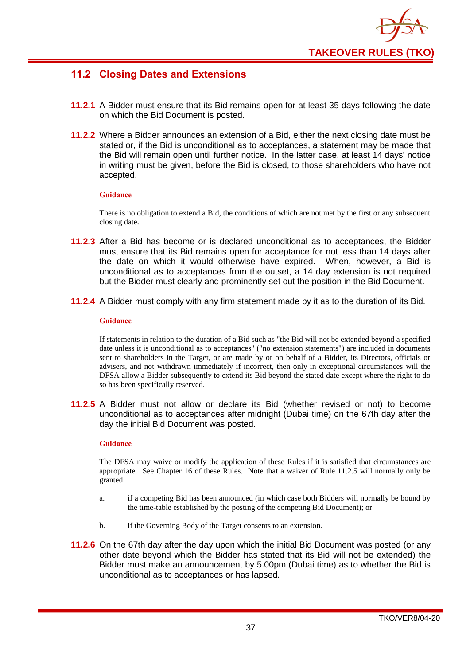

## <span id="page-40-0"></span>**11.2 Closing Dates and Extensions**

- **11.2.1** A Bidder must ensure that its Bid remains open for at least 35 days following the date on which the Bid Document is posted.
- **11.2.2** Where a Bidder announces an extension of a Bid, either the next closing date must be stated or, if the Bid is unconditional as to acceptances, a statement may be made that the Bid will remain open until further notice. In the latter case, at least 14 days' notice in writing must be given, before the Bid is closed, to those shareholders who have not accepted.

#### **Guidance**

There is no obligation to extend a Bid, the conditions of which are not met by the first or any subsequent closing date.

- **11.2.3** After a Bid has become or is declared unconditional as to acceptances, the Bidder must ensure that its Bid remains open for acceptance for not less than 14 days after the date on which it would otherwise have expired. When, however, a Bid is unconditional as to acceptances from the outset, a 14 day extension is not required but the Bidder must clearly and prominently set out the position in the Bid Document.
- **11.2.4** A Bidder must comply with any firm statement made by it as to the duration of its Bid.

#### **Guidance**

If statements in relation to the duration of a Bid such as "the Bid will not be extended beyond a specified date unless it is unconditional as to acceptances" ("no extension statements") are included in documents sent to shareholders in the Target, or are made by or on behalf of a Bidder, its Directors, officials or advisers, and not withdrawn immediately if incorrect, then only in exceptional circumstances will the DFSA allow a Bidder subsequently to extend its Bid beyond the stated date except where the right to do so has been specifically reserved.

**11.2.5** A Bidder must not allow or declare its Bid (whether revised or not) to become unconditional as to acceptances after midnight (Dubai time) on the 67th day after the day the initial Bid Document was posted.

#### **Guidance**

The DFSA may waive or modify the application of these Rules if it is satisfied that circumstances are appropriate. See Chapter 16 of these Rules. Note that a waiver of Rule 11.2.5 will normally only be granted:

- a. if a competing Bid has been announced (in which case both Bidders will normally be bound by the time-table established by the posting of the competing Bid Document); or
- b. if the Governing Body of the Target consents to an extension.
- **11.2.6** On the 67th day after the day upon which the initial Bid Document was posted (or any other date beyond which the Bidder has stated that its Bid will not be extended) the Bidder must make an announcement by 5.00pm (Dubai time) as to whether the Bid is unconditional as to acceptances or has lapsed.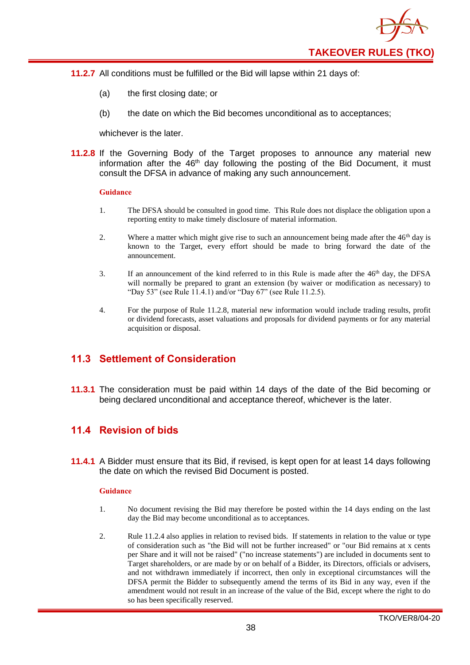

- **11.2.7** All conditions must be fulfilled or the Bid will lapse within 21 days of:
	- (a) the first closing date; or
	- (b) the date on which the Bid becomes unconditional as to acceptances;

whichever is the later.

**11.2.8** If the Governing Body of the Target proposes to announce any material new information after the  $46<sup>th</sup>$  day following the posting of the Bid Document, it must consult the DFSA in advance of making any such announcement.

#### **Guidance**

- 1. The DFSA should be consulted in good time. This Rule does not displace the obligation upon a reporting entity to make timely disclosure of material information.
- 2. Where a matter which might give rise to such an announcement being made after the  $46<sup>th</sup>$  day is known to the Target, every effort should be made to bring forward the date of the announcement.
- 3. If an announcement of the kind referred to in this Rule is made after the  $46<sup>th</sup>$  day, the DFSA will normally be prepared to grant an extension (by waiver or modification as necessary) to "Day 53" (see Rule 11.4.1) and/or "Day 67" (see Rule 11.2.5).
- 4. For the purpose of Rule 11.2.8, material new information would include trading results, profit or dividend forecasts, asset valuations and proposals for dividend payments or for any material acquisition or disposal.

## <span id="page-41-0"></span>**11.3 Settlement of Consideration**

**11.3.1** The consideration must be paid within 14 days of the date of the Bid becoming or being declared unconditional and acceptance thereof, whichever is the later.

#### <span id="page-41-1"></span>**11.4 Revision of bids**

**11.4.1** A Bidder must ensure that its Bid, if revised, is kept open for at least 14 days following the date on which the revised Bid Document is posted.

- 1. No document revising the Bid may therefore be posted within the 14 days ending on the last day the Bid may become unconditional as to acceptances.
- 2. Rule 11.2.4 also applies in relation to revised bids. If statements in relation to the value or type of consideration such as "the Bid will not be further increased" or "our Bid remains at x cents per Share and it will not be raised" ("no increase statements") are included in documents sent to Target shareholders, or are made by or on behalf of a Bidder, its Directors, officials or advisers, and not withdrawn immediately if incorrect, then only in exceptional circumstances will the DFSA permit the Bidder to subsequently amend the terms of its Bid in any way, even if the amendment would not result in an increase of the value of the Bid, except where the right to do so has been specifically reserved.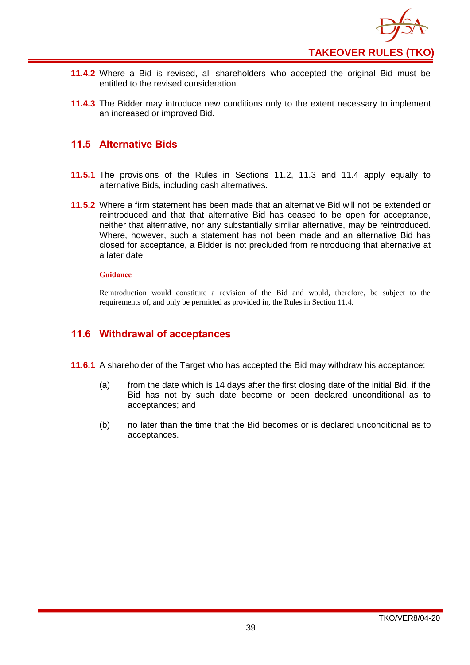

- **11.4.2** Where a Bid is revised, all shareholders who accepted the original Bid must be entitled to the revised consideration.
- **11.4.3** The Bidder may introduce new conditions only to the extent necessary to implement an increased or improved Bid.

#### <span id="page-42-0"></span>**11.5 Alternative Bids**

- **11.5.1** The provisions of the Rules in Sections 11.2, 11.3 and 11.4 apply equally to alternative Bids, including cash alternatives.
- **11.5.2** Where a firm statement has been made that an alternative Bid will not be extended or reintroduced and that that alternative Bid has ceased to be open for acceptance, neither that alternative, nor any substantially similar alternative, may be reintroduced. Where, however, such a statement has not been made and an alternative Bid has closed for acceptance, a Bidder is not precluded from reintroducing that alternative at a later date.

#### **Guidance**

Reintroduction would constitute a revision of the Bid and would, therefore, be subject to the requirements of, and only be permitted as provided in, the Rules in Section 11.4.

#### <span id="page-42-1"></span>**11.6 Withdrawal of acceptances**

- **11.6.1** A shareholder of the Target who has accepted the Bid may withdraw his acceptance:
	- (a) from the date which is 14 days after the first closing date of the initial Bid, if the Bid has not by such date become or been declared unconditional as to acceptances; and
	- (b) no later than the time that the Bid becomes or is declared unconditional as to acceptances.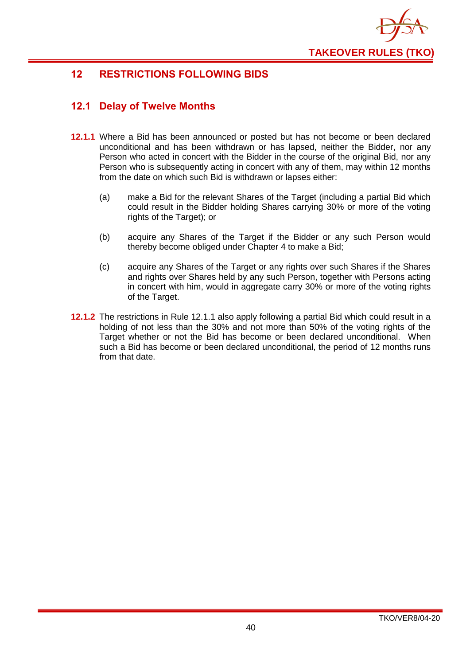

## <span id="page-43-0"></span>**12 RESTRICTIONS FOLLOWING BIDS**

## <span id="page-43-1"></span>**12.1 Delay of Twelve Months**

- **12.1.1** Where a Bid has been announced or posted but has not become or been declared unconditional and has been withdrawn or has lapsed, neither the Bidder, nor any Person who acted in concert with the Bidder in the course of the original Bid, nor any Person who is subsequently acting in concert with any of them, may within 12 months from the date on which such Bid is withdrawn or lapses either:
	- (a) make a Bid for the relevant Shares of the Target (including a partial Bid which could result in the Bidder holding Shares carrying 30% or more of the voting rights of the Target); or
	- (b) acquire any Shares of the Target if the Bidder or any such Person would thereby become obliged under Chapter 4 to make a Bid;
	- (c) acquire any Shares of the Target or any rights over such Shares if the Shares and rights over Shares held by any such Person, together with Persons acting in concert with him, would in aggregate carry 30% or more of the voting rights of the Target.
- **12.1.2** The restrictions in Rule 12.1.1 also apply following a partial Bid which could result in a holding of not less than the 30% and not more than 50% of the voting rights of the Target whether or not the Bid has become or been declared unconditional. When such a Bid has become or been declared unconditional, the period of 12 months runs from that date.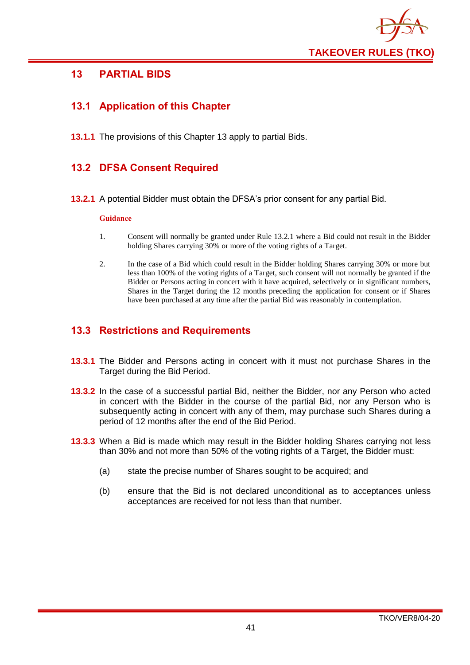

## <span id="page-44-0"></span>**13 PARTIAL BIDS**

## <span id="page-44-1"></span>**13.1 Application of this Chapter**

**13.1.1** The provisions of this Chapter 13 apply to partial Bids.

## <span id="page-44-2"></span>**13.2 DFSA Consent Required**

**13.2.1** A potential Bidder must obtain the DFSA's prior consent for any partial Bid.

#### **Guidance**

- 1. Consent will normally be granted under Rule 13.2.1 where a Bid could not result in the Bidder holding Shares carrying 30% or more of the voting rights of a Target.
- 2. In the case of a Bid which could result in the Bidder holding Shares carrying 30% or more but less than 100% of the voting rights of a Target, such consent will not normally be granted if the Bidder or Persons acting in concert with it have acquired, selectively or in significant numbers, Shares in the Target during the 12 months preceding the application for consent or if Shares have been purchased at any time after the partial Bid was reasonably in contemplation.

## <span id="page-44-3"></span>**13.3 Restrictions and Requirements**

- **13.3.1** The Bidder and Persons acting in concert with it must not purchase Shares in the Target during the Bid Period.
- **13.3.2** In the case of a successful partial Bid, neither the Bidder, nor any Person who acted in concert with the Bidder in the course of the partial Bid, nor any Person who is subsequently acting in concert with any of them, may purchase such Shares during a period of 12 months after the end of the Bid Period.
- **13.3.3** When a Bid is made which may result in the Bidder holding Shares carrying not less than 30% and not more than 50% of the voting rights of a Target, the Bidder must:
	- (a) state the precise number of Shares sought to be acquired; and
	- (b) ensure that the Bid is not declared unconditional as to acceptances unless acceptances are received for not less than that number.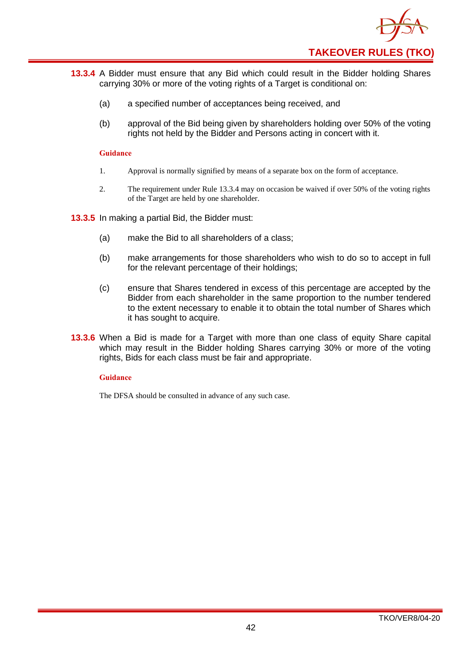

- **13.3.4** A Bidder must ensure that any Bid which could result in the Bidder holding Shares carrying 30% or more of the voting rights of a Target is conditional on:
	- (a) a specified number of acceptances being received, and
	- (b) approval of the Bid being given by shareholders holding over 50% of the voting rights not held by the Bidder and Persons acting in concert with it.

- 1. Approval is normally signified by means of a separate box on the form of acceptance.
- 2. The requirement under Rule 13.3.4 may on occasion be waived if over 50% of the voting rights of the Target are held by one shareholder.

**13.3.5** In making a partial Bid, the Bidder must:

- (a) make the Bid to all shareholders of a class;
- (b) make arrangements for those shareholders who wish to do so to accept in full for the relevant percentage of their holdings;
- (c) ensure that Shares tendered in excess of this percentage are accepted by the Bidder from each shareholder in the same proportion to the number tendered to the extent necessary to enable it to obtain the total number of Shares which it has sought to acquire.
- **13.3.6** When a Bid is made for a Target with more than one class of equity Share capital which may result in the Bidder holding Shares carrying 30% or more of the voting rights, Bids for each class must be fair and appropriate.

#### **Guidance**

The DFSA should be consulted in advance of any such case.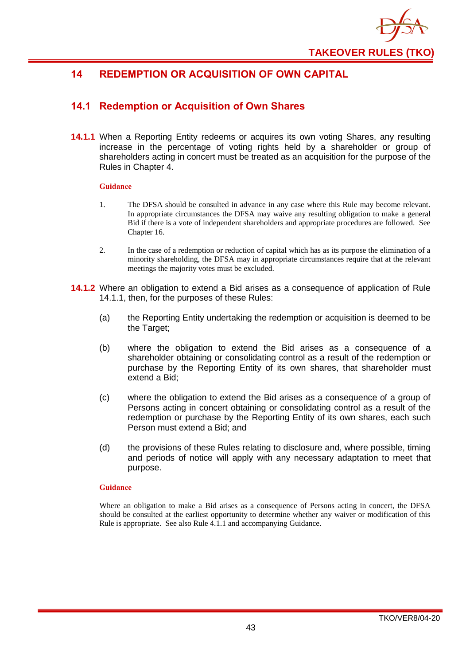

## <span id="page-46-0"></span>**14 REDEMPTION OR ACQUISITION OF OWN CAPITAL**

## <span id="page-46-1"></span>**14.1 Redemption or Acquisition of Own Shares**

**14.1.1** When a Reporting Entity redeems or acquires its own voting Shares, any resulting increase in the percentage of voting rights held by a shareholder or group of shareholders acting in concert must be treated as an acquisition for the purpose of the Rules in Chapter 4.

#### **Guidance**

- 1. The DFSA should be consulted in advance in any case where this Rule may become relevant. In appropriate circumstances the DFSA may waive any resulting obligation to make a general Bid if there is a vote of independent shareholders and appropriate procedures are followed. See Chapter 16.
- 2. In the case of a redemption or reduction of capital which has as its purpose the elimination of a minority shareholding, the DFSA may in appropriate circumstances require that at the relevant meetings the majority votes must be excluded.
- **14.1.2** Where an obligation to extend a Bid arises as a consequence of application of Rule 14.1.1, then, for the purposes of these Rules:
	- (a) the Reporting Entity undertaking the redemption or acquisition is deemed to be the Target;
	- (b) where the obligation to extend the Bid arises as a consequence of a shareholder obtaining or consolidating control as a result of the redemption or purchase by the Reporting Entity of its own shares, that shareholder must extend a Bid;
	- (c) where the obligation to extend the Bid arises as a consequence of a group of Persons acting in concert obtaining or consolidating control as a result of the redemption or purchase by the Reporting Entity of its own shares, each such Person must extend a Bid; and
	- (d) the provisions of these Rules relating to disclosure and, where possible, timing and periods of notice will apply with any necessary adaptation to meet that purpose.

#### **Guidance**

Where an obligation to make a Bid arises as a consequence of Persons acting in concert, the DFSA should be consulted at the earliest opportunity to determine whether any waiver or modification of this Rule is appropriate. See also Rule 4.1.1 and accompanying Guidance.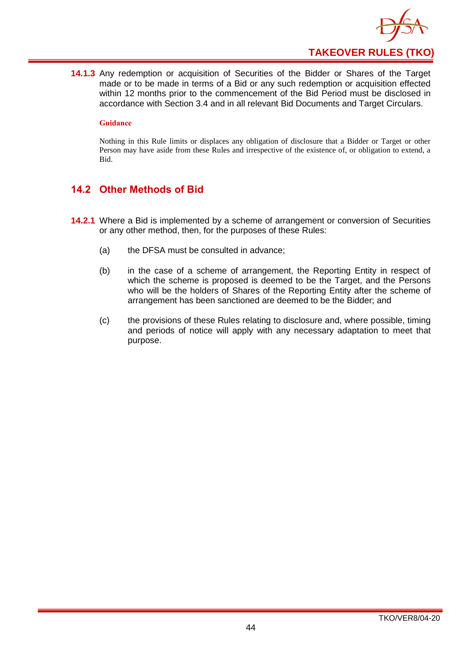

**14.1.3** Any redemption or acquisition of Securities of the Bidder or Shares of the Target made or to be made in terms of a Bid or any such redemption or acquisition effected within 12 months prior to the commencement of the Bid Period must be disclosed in accordance with Section 3.4 and in all relevant Bid Documents and Target Circulars.

#### **Guidance**

Nothing in this Rule limits or displaces any obligation of disclosure that a Bidder or Target or other Person may have aside from these Rules and irrespective of the existence of, or obligation to extend, a Bid.

## <span id="page-47-0"></span>**14.2 Other Methods of Bid**

- **14.2.1** Where a Bid is implemented by a scheme of arrangement or conversion of Securities or any other method, then, for the purposes of these Rules:
	- (a) the DFSA must be consulted in advance;
	- (b) in the case of a scheme of arrangement, the Reporting Entity in respect of which the scheme is proposed is deemed to be the Target, and the Persons who will be the holders of Shares of the Reporting Entity after the scheme of arrangement has been sanctioned are deemed to be the Bidder; and
	- (c) the provisions of these Rules relating to disclosure and, where possible, timing and periods of notice will apply with any necessary adaptation to meet that purpose.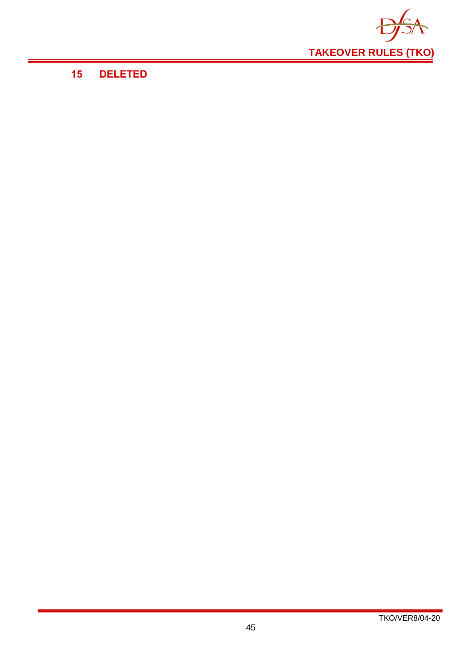

## <span id="page-48-0"></span>**15 DELETED**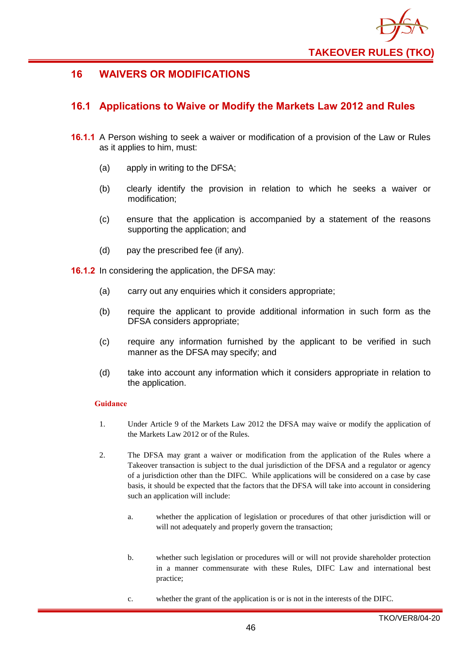

## <span id="page-49-0"></span>**16 WAIVERS OR MODIFICATIONS**

## <span id="page-49-1"></span>**16.1 Applications to Waive or Modify the Markets Law 2012 and Rules**

- **16.1.1** A Person wishing to seek a waiver or modification of a provision of the Law or Rules as it applies to him, must:
	- (a) apply in writing to the DFSA;
	- (b) clearly identify the provision in relation to which he seeks a waiver or modification;
	- (c) ensure that the application is accompanied by a statement of the reasons supporting the application; and
	- (d) pay the prescribed fee (if any).

**16.1.2** In considering the application, the DFSA may:

- (a) carry out any enquiries which it considers appropriate;
- (b) require the applicant to provide additional information in such form as the DFSA considers appropriate;
- (c) require any information furnished by the applicant to be verified in such manner as the DFSA may specify; and
- (d) take into account any information which it considers appropriate in relation to the application.

- 1. Under Article 9 of the Markets Law 2012 the DFSA may waive or modify the application of the Markets Law 2012 or of the Rules.
- 2. The DFSA may grant a waiver or modification from the application of the Rules where a Takeover transaction is subject to the dual jurisdiction of the DFSA and a regulator or agency of a jurisdiction other than the DIFC. While applications will be considered on a case by case basis, it should be expected that the factors that the DFSA will take into account in considering such an application will include:
	- a. whether the application of legislation or procedures of that other jurisdiction will or will not adequately and properly govern the transaction;
	- b. whether such legislation or procedures will or will not provide shareholder protection in a manner commensurate with these Rules, DIFC Law and international best practice;
	- c. whether the grant of the application is or is not in the interests of the DIFC.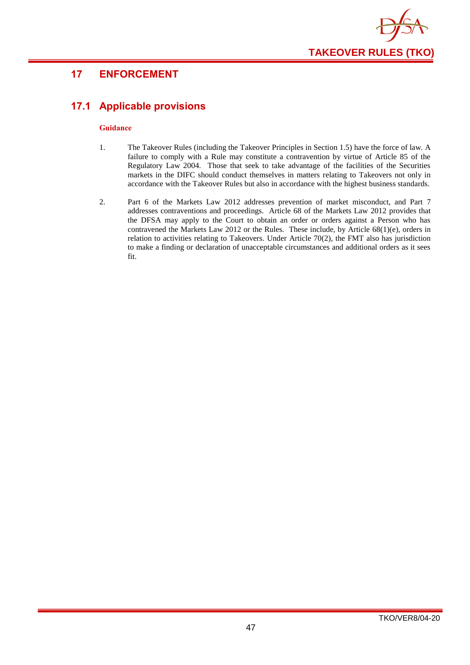

## <span id="page-50-0"></span>**17 ENFORCEMENT**

## <span id="page-50-1"></span>**17.1 Applicable provisions**

- 1. The Takeover Rules (including the Takeover Principles in Section 1.5) have the force of law. A failure to comply with a Rule may constitute a contravention by virtue of Article 85 of the Regulatory Law 2004. Those that seek to take advantage of the facilities of the Securities markets in the DIFC should conduct themselves in matters relating to Takeovers not only in accordance with the Takeover Rules but also in accordance with the highest business standards.
- 2. Part 6 of the Markets Law 2012 addresses prevention of market misconduct, and Part 7 addresses contraventions and proceedings. Article 68 of the Markets Law 2012 provides that the DFSA may apply to the Court to obtain an order or orders against a Person who has contravened the Markets Law 2012 or the Rules. These include, by Article 68(1)(e), orders in relation to activities relating to Takeovers. Under Article 70(2), the FMT also has jurisdiction to make a finding or declaration of unacceptable circumstances and additional orders as it sees fit.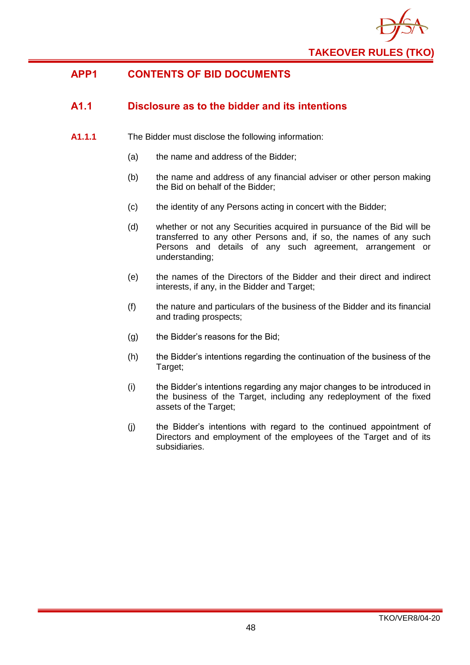

## <span id="page-51-0"></span>**APP1 CONTENTS OF BID DOCUMENTS**

## <span id="page-51-1"></span>**A1.1 Disclosure as to the bidder and its intentions**

- **A1.1.1** The Bidder must disclose the following information:
	- (a) the name and address of the Bidder;
	- (b) the name and address of any financial adviser or other person making the Bid on behalf of the Bidder;
	- (c) the identity of any Persons acting in concert with the Bidder;
	- (d) whether or not any Securities acquired in pursuance of the Bid will be transferred to any other Persons and, if so, the names of any such Persons and details of any such agreement, arrangement or understanding;
	- (e) the names of the Directors of the Bidder and their direct and indirect interests, if any, in the Bidder and Target;
	- (f) the nature and particulars of the business of the Bidder and its financial and trading prospects;
	- (g) the Bidder's reasons for the Bid;
	- (h) the Bidder's intentions regarding the continuation of the business of the Target;
	- (i) the Bidder's intentions regarding any major changes to be introduced in the business of the Target, including any redeployment of the fixed assets of the Target;
	- (j) the Bidder's intentions with regard to the continued appointment of Directors and employment of the employees of the Target and of its subsidiaries.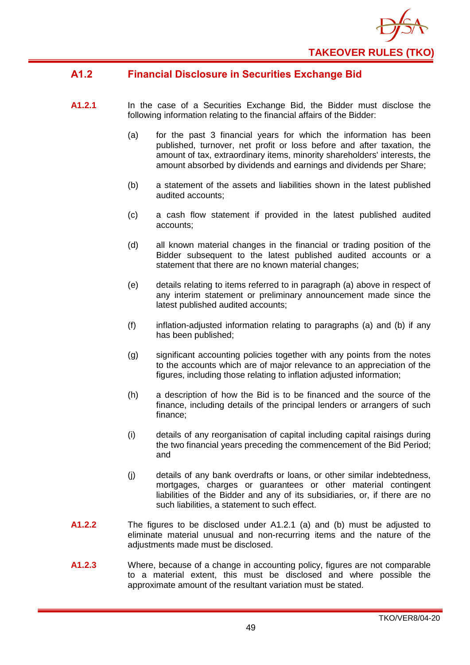

## <span id="page-52-0"></span>**A1.2 Financial Disclosure in Securities Exchange Bid**

- **A1.2.1** In the case of a Securities Exchange Bid, the Bidder must disclose the following information relating to the financial affairs of the Bidder:
	- (a) for the past 3 financial years for which the information has been published, turnover, net profit or loss before and after taxation, the amount of tax, extraordinary items, minority shareholders' interests, the amount absorbed by dividends and earnings and dividends per Share;
	- (b) a statement of the assets and liabilities shown in the latest published audited accounts;
	- (c) a cash flow statement if provided in the latest published audited accounts;
	- (d) all known material changes in the financial or trading position of the Bidder subsequent to the latest published audited accounts or a statement that there are no known material changes;
	- (e) details relating to items referred to in paragraph (a) above in respect of any interim statement or preliminary announcement made since the latest published audited accounts;
	- (f) inflation-adjusted information relating to paragraphs (a) and (b) if any has been published;
	- (g) significant accounting policies together with any points from the notes to the accounts which are of major relevance to an appreciation of the figures, including those relating to inflation adjusted information;
	- (h) a description of how the Bid is to be financed and the source of the finance, including details of the principal lenders or arrangers of such finance;
	- (i) details of any reorganisation of capital including capital raisings during the two financial years preceding the commencement of the Bid Period; and
	- (j) details of any bank overdrafts or loans, or other similar indebtedness, mortgages, charges or guarantees or other material contingent liabilities of the Bidder and any of its subsidiaries, or, if there are no such liabilities, a statement to such effect.
- **A1.2.2** The figures to be disclosed under A1.2.1 (a) and (b) must be adjusted to eliminate material unusual and non-recurring items and the nature of the adjustments made must be disclosed.
- **A1.2.3** Where, because of a change in accounting policy, figures are not comparable to a material extent, this must be disclosed and where possible the approximate amount of the resultant variation must be stated.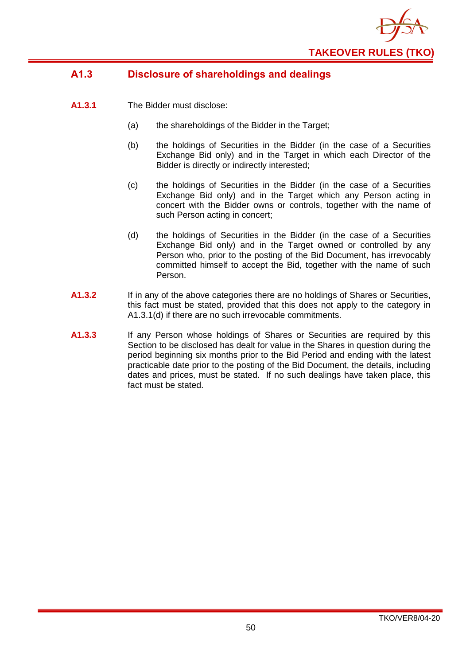

## <span id="page-53-0"></span>**A1.3 Disclosure of shareholdings and dealings**

- **A1.3.1** The Bidder must disclose:
	- (a) the shareholdings of the Bidder in the Target;
	- (b) the holdings of Securities in the Bidder (in the case of a Securities Exchange Bid only) and in the Target in which each Director of the Bidder is directly or indirectly interested;
	- (c) the holdings of Securities in the Bidder (in the case of a Securities Exchange Bid only) and in the Target which any Person acting in concert with the Bidder owns or controls, together with the name of such Person acting in concert;
	- (d) the holdings of Securities in the Bidder (in the case of a Securities Exchange Bid only) and in the Target owned or controlled by any Person who, prior to the posting of the Bid Document, has irrevocably committed himself to accept the Bid, together with the name of such Person.
- **A1.3.2** If in any of the above categories there are no holdings of Shares or Securities, this fact must be stated, provided that this does not apply to the category in A1.3.1(d) if there are no such irrevocable commitments.
- **A1.3.3** If any Person whose holdings of Shares or Securities are required by this Section to be disclosed has dealt for value in the Shares in question during the period beginning six months prior to the Bid Period and ending with the latest practicable date prior to the posting of the Bid Document, the details, including dates and prices, must be stated. If no such dealings have taken place, this fact must be stated.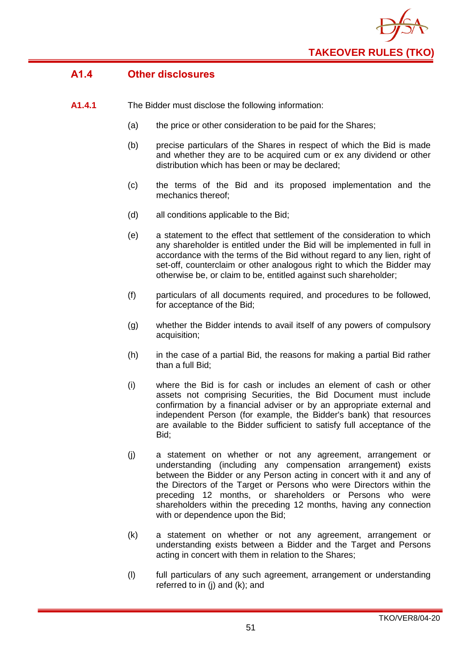

## <span id="page-54-0"></span>**A1.4 Other disclosures**

- **A1.4.1** The Bidder must disclose the following information:
	- (a) the price or other consideration to be paid for the Shares;
	- (b) precise particulars of the Shares in respect of which the Bid is made and whether they are to be acquired cum or ex any dividend or other distribution which has been or may be declared;
	- (c) the terms of the Bid and its proposed implementation and the mechanics thereof;
	- (d) all conditions applicable to the Bid;
	- (e) a statement to the effect that settlement of the consideration to which any shareholder is entitled under the Bid will be implemented in full in accordance with the terms of the Bid without regard to any lien, right of set-off, counterclaim or other analogous right to which the Bidder may otherwise be, or claim to be, entitled against such shareholder;
	- (f) particulars of all documents required, and procedures to be followed, for acceptance of the Bid;
	- (g) whether the Bidder intends to avail itself of any powers of compulsory acquisition;
	- (h) in the case of a partial Bid, the reasons for making a partial Bid rather than a full Bid;
	- (i) where the Bid is for cash or includes an element of cash or other assets not comprising Securities, the Bid Document must include confirmation by a financial adviser or by an appropriate external and independent Person (for example, the Bidder's bank) that resources are available to the Bidder sufficient to satisfy full acceptance of the Bid;
	- (j) a statement on whether or not any agreement, arrangement or understanding (including any compensation arrangement) exists between the Bidder or any Person acting in concert with it and any of the Directors of the Target or Persons who were Directors within the preceding 12 months, or shareholders or Persons who were shareholders within the preceding 12 months, having any connection with or dependence upon the Bid;
	- (k) a statement on whether or not any agreement, arrangement or understanding exists between a Bidder and the Target and Persons acting in concert with them in relation to the Shares;
	- (l) full particulars of any such agreement, arrangement or understanding referred to in (j) and (k); and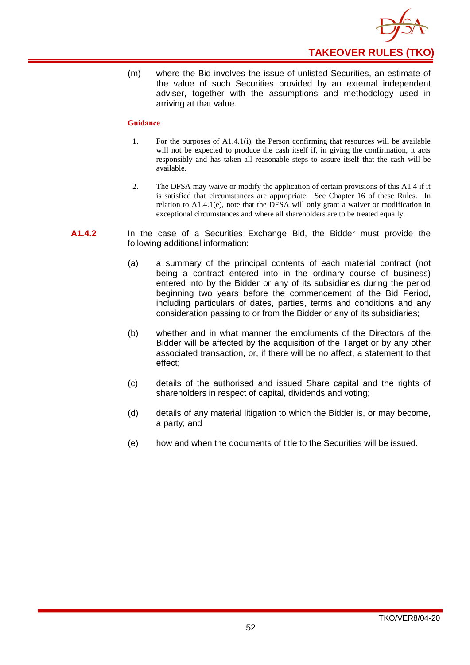

(m) where the Bid involves the issue of unlisted Securities, an estimate of the value of such Securities provided by an external independent adviser, together with the assumptions and methodology used in arriving at that value.

- 1. For the purposes of A1.4.1(i), the Person confirming that resources will be available will not be expected to produce the cash itself if, in giving the confirmation, it acts responsibly and has taken all reasonable steps to assure itself that the cash will be available.
- 2. The DFSA may waive or modify the application of certain provisions of this A1.4 if it is satisfied that circumstances are appropriate. See Chapter 16 of these Rules. In relation to A1.4.1(e), note that the DFSA will only grant a waiver or modification in exceptional circumstances and where all shareholders are to be treated equally.
- **A1.4.2** In the case of a Securities Exchange Bid, the Bidder must provide the following additional information:
	- (a) a summary of the principal contents of each material contract (not being a contract entered into in the ordinary course of business) entered into by the Bidder or any of its subsidiaries during the period beginning two years before the commencement of the Bid Period, including particulars of dates, parties, terms and conditions and any consideration passing to or from the Bidder or any of its subsidiaries;
	- (b) whether and in what manner the emoluments of the Directors of the Bidder will be affected by the acquisition of the Target or by any other associated transaction, or, if there will be no affect, a statement to that effect;
	- (c) details of the authorised and issued Share capital and the rights of shareholders in respect of capital, dividends and voting;
	- (d) details of any material litigation to which the Bidder is, or may become, a party; and
	- (e) how and when the documents of title to the Securities will be issued.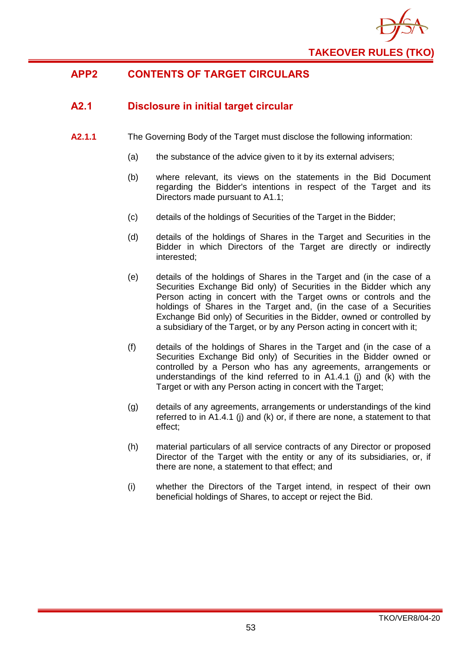

## <span id="page-56-0"></span>**APP2 CONTENTS OF TARGET CIRCULARS**

## <span id="page-56-1"></span>**A2.1 Disclosure in initial target circular**

- **A2.1.1** The Governing Body of the Target must disclose the following information:
	- (a) the substance of the advice given to it by its external advisers;
	- (b) where relevant, its views on the statements in the Bid Document regarding the Bidder's intentions in respect of the Target and its Directors made pursuant to A1.1;
	- (c) details of the holdings of Securities of the Target in the Bidder;
	- (d) details of the holdings of Shares in the Target and Securities in the Bidder in which Directors of the Target are directly or indirectly interested;
	- (e) details of the holdings of Shares in the Target and (in the case of a Securities Exchange Bid only) of Securities in the Bidder which any Person acting in concert with the Target owns or controls and the holdings of Shares in the Target and, (in the case of a Securities Exchange Bid only) of Securities in the Bidder, owned or controlled by a subsidiary of the Target, or by any Person acting in concert with it;
	- (f) details of the holdings of Shares in the Target and (in the case of a Securities Exchange Bid only) of Securities in the Bidder owned or controlled by a Person who has any agreements, arrangements or understandings of the kind referred to in  $A1.4.1$  (i) and  $\overline{K}$  with the Target or with any Person acting in concert with the Target:
	- (g) details of any agreements, arrangements or understandings of the kind referred to in A1.4.1 (j) and (k) or, if there are none, a statement to that effect;
	- (h) material particulars of all service contracts of any Director or proposed Director of the Target with the entity or any of its subsidiaries, or, if there are none, a statement to that effect; and
	- (i) whether the Directors of the Target intend, in respect of their own beneficial holdings of Shares, to accept or reject the Bid.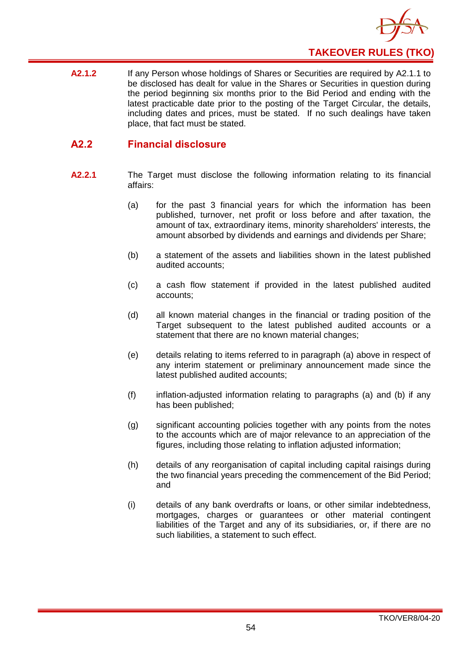

**A2.1.2** If any Person whose holdings of Shares or Securities are required by A2.1.1 to be disclosed has dealt for value in the Shares or Securities in question during the period beginning six months prior to the Bid Period and ending with the latest practicable date prior to the posting of the Target Circular, the details, including dates and prices, must be stated. If no such dealings have taken place, that fact must be stated.

## <span id="page-57-0"></span>**A2.2 Financial disclosure**

- **A2.2.1** The Target must disclose the following information relating to its financial affairs:
	- (a) for the past 3 financial years for which the information has been published, turnover, net profit or loss before and after taxation, the amount of tax, extraordinary items, minority shareholders' interests, the amount absorbed by dividends and earnings and dividends per Share;
	- (b) a statement of the assets and liabilities shown in the latest published audited accounts;
	- (c) a cash flow statement if provided in the latest published audited accounts;
	- (d) all known material changes in the financial or trading position of the Target subsequent to the latest published audited accounts or a statement that there are no known material changes;
	- (e) details relating to items referred to in paragraph (a) above in respect of any interim statement or preliminary announcement made since the latest published audited accounts;
	- (f) inflation-adjusted information relating to paragraphs (a) and (b) if any has been published;
	- (g) significant accounting policies together with any points from the notes to the accounts which are of major relevance to an appreciation of the figures, including those relating to inflation adjusted information;
	- (h) details of any reorganisation of capital including capital raisings during the two financial years preceding the commencement of the Bid Period; and
	- (i) details of any bank overdrafts or loans, or other similar indebtedness, mortgages, charges or guarantees or other material contingent liabilities of the Target and any of its subsidiaries, or, if there are no such liabilities, a statement to such effect.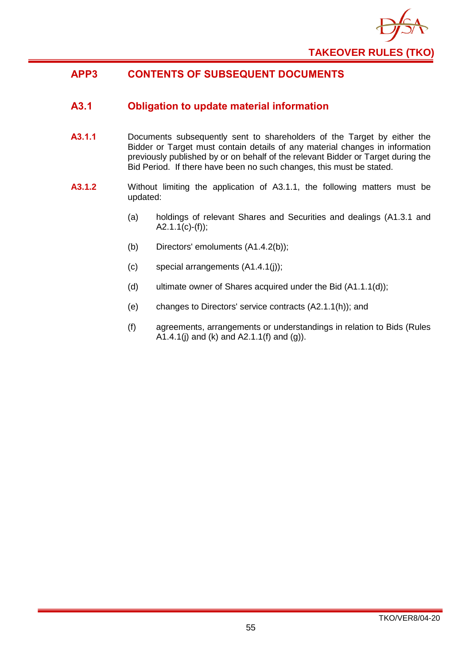

## <span id="page-58-0"></span>**APP3 CONTENTS OF SUBSEQUENT DOCUMENTS**

## <span id="page-58-1"></span>**A3.1 Obligation to update material information**

- **A3.1.1** Documents subsequently sent to shareholders of the Target by either the Bidder or Target must contain details of any material changes in information previously published by or on behalf of the relevant Bidder or Target during the Bid Period. If there have been no such changes, this must be stated.
- **A3.1.2** Without limiting the application of A3.1.1, the following matters must be updated:
	- (a) holdings of relevant Shares and Securities and dealings (A1.3.1 and  $A2.1.1(c)-(f));$
	- (b) Directors' emoluments (A1.4.2(b));
	- (c) special arrangements (A1.4.1(j));
	- (d) ultimate owner of Shares acquired under the Bid (A1.1.1(d));
	- (e) changes to Directors' service contracts (A2.1.1(h)); and
	- (f) agreements, arrangements or understandings in relation to Bids (Rules A1.4.1(j) and (k) and  $A2.1.1(f)$  and (g)).